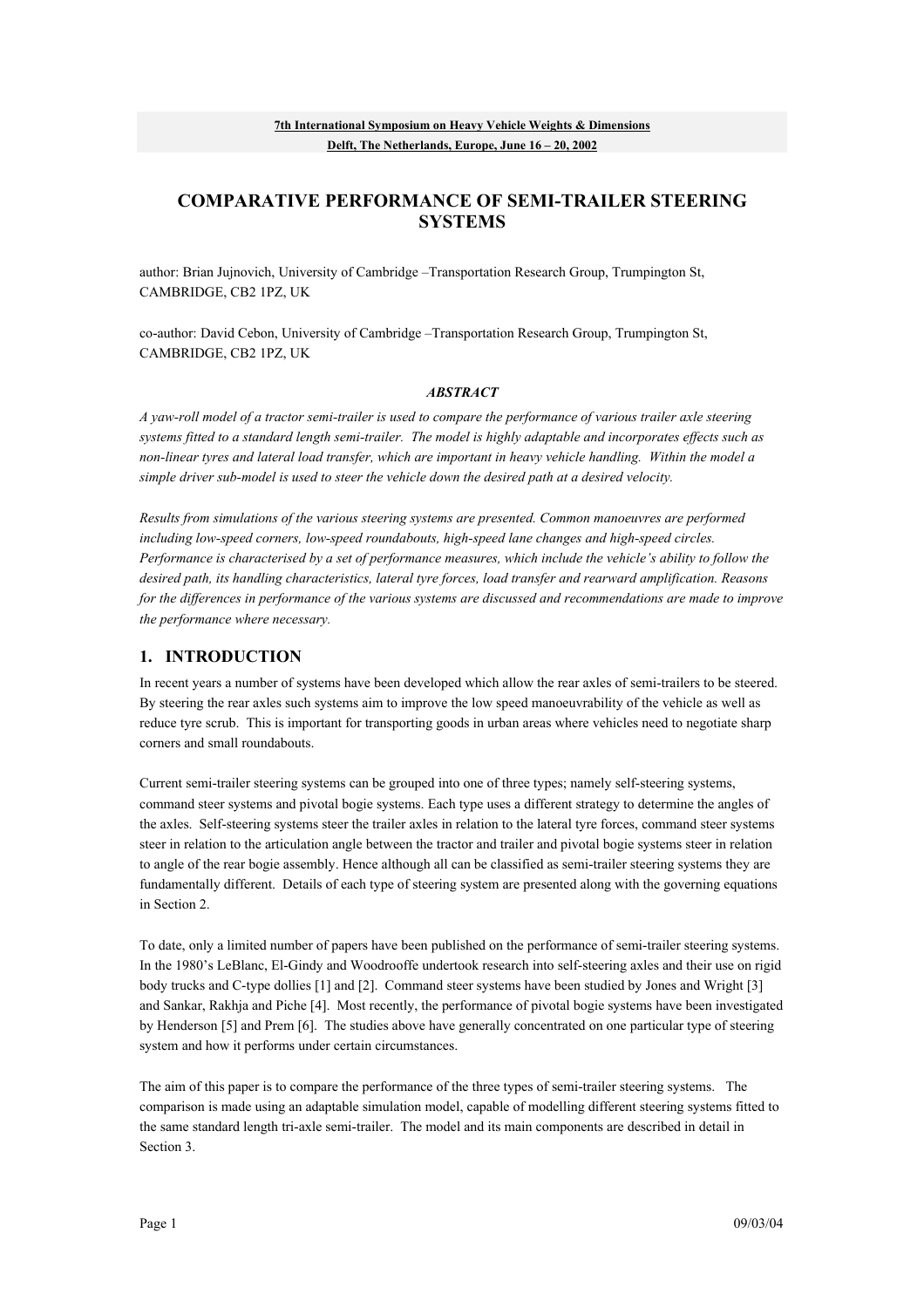# **COMPARATIVE PERFORMANCE OF SEMI-TRAILER STEERING SYSTEMS**

author: Brian Jujnovich, University of Cambridge –Transportation Research Group, Trumpington St, CAMBRIDGE, CB2 1PZ, UK

co-author: David Cebon, University of Cambridge –Transportation Research Group, Trumpington St, CAMBRIDGE, CB2 1PZ, UK

#### *ABSTRACT*

*A yaw-roll model of a tractor semi-trailer is used to compare the performance of various trailer axle steering systems fitted to a standard length semi-trailer. The model is highly adaptable and incorporates effects such as non-linear tyres and lateral load transfer, which are important in heavy vehicle handling. Within the model a simple driver sub-model is used to steer the vehicle down the desired path at a desired velocity.* 

*Results from simulations of the various steering systems are presented. Common manoeuvres are performed including low-speed corners, low-speed roundabouts, high-speed lane changes and high-speed circles. Performance is characterised by a set of performance measures, which include the vehicle's ability to follow the desired path, its handling characteristics, lateral tyre forces, load transfer and rearward amplification. Reasons for the differences in performance of the various systems are discussed and recommendations are made to improve the performance where necessary.* 

### **1. INTRODUCTION**

In recent years a number of systems have been developed which allow the rear axles of semi-trailers to be steered. By steering the rear axles such systems aim to improve the low speed manoeuvrability of the vehicle as well as reduce tyre scrub. This is important for transporting goods in urban areas where vehicles need to negotiate sharp corners and small roundabouts.

Current semi-trailer steering systems can be grouped into one of three types; namely self-steering systems, command steer systems and pivotal bogie systems. Each type uses a different strategy to determine the angles of the axles. Self-steering systems steer the trailer axles in relation to the lateral tyre forces, command steer systems steer in relation to the articulation angle between the tractor and trailer and pivotal bogie systems steer in relation to angle of the rear bogie assembly. Hence although all can be classified as semi-trailer steering systems they are fundamentally different. Details of each type of steering system are presented along with the governing equations in Section 2.

To date, only a limited number of papers have been published on the performance of semi-trailer steering systems. In the 1980's LeBlanc, El-Gindy and Woodrooffe undertook research into self-steering axles and their use on rigid body trucks and C-type dollies [1] and [2]. Command steer systems have been studied by Jones and Wright [3] and Sankar, Rakhja and Piche [4]. Most recently, the performance of pivotal bogie systems have been investigated by Henderson [5] and Prem [6]. The studies above have generally concentrated on one particular type of steering system and how it performs under certain circumstances.

The aim of this paper is to compare the performance of the three types of semi-trailer steering systems. The comparison is made using an adaptable simulation model, capable of modelling different steering systems fitted to the same standard length tri-axle semi-trailer. The model and its main components are described in detail in Section 3.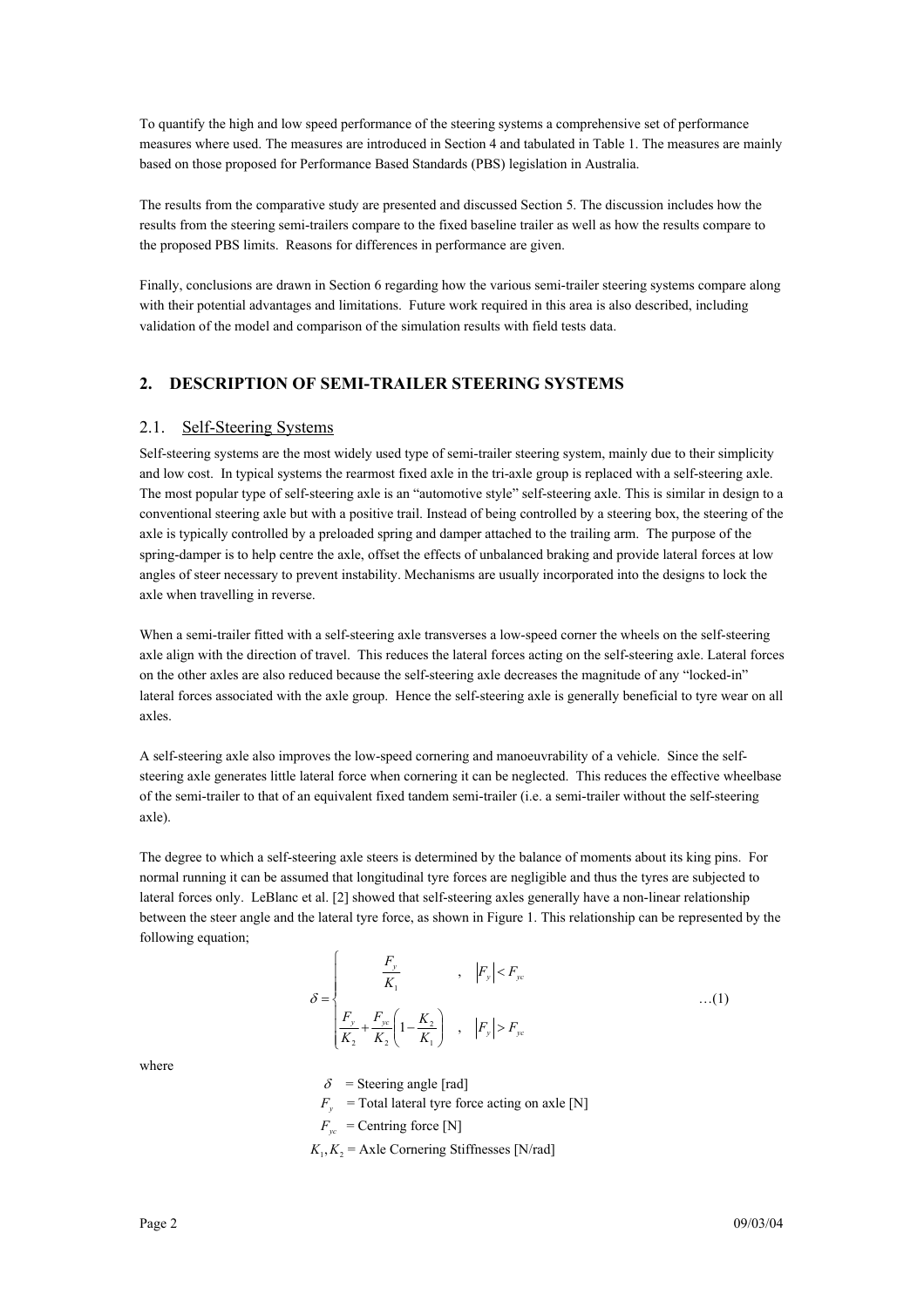To quantify the high and low speed performance of the steering systems a comprehensive set of performance measures where used. The measures are introduced in Section 4 and tabulated in Table 1. The measures are mainly based on those proposed for Performance Based Standards (PBS) legislation in Australia.

The results from the comparative study are presented and discussed Section 5. The discussion includes how the results from the steering semi-trailers compare to the fixed baseline trailer as well as how the results compare to the proposed PBS limits. Reasons for differences in performance are given.

Finally, conclusions are drawn in Section 6 regarding how the various semi-trailer steering systems compare along with their potential advantages and limitations. Future work required in this area is also described, including validation of the model and comparison of the simulation results with field tests data.

### **2. DESCRIPTION OF SEMI-TRAILER STEERING SYSTEMS**

#### 2.1. Self-Steering Systems

Self-steering systems are the most widely used type of semi-trailer steering system, mainly due to their simplicity and low cost. In typical systems the rearmost fixed axle in the tri-axle group is replaced with a self-steering axle. The most popular type of self-steering axle is an "automotive style" self-steering axle. This is similar in design to a conventional steering axle but with a positive trail. Instead of being controlled by a steering box, the steering of the axle is typically controlled by a preloaded spring and damper attached to the trailing arm. The purpose of the spring-damper is to help centre the axle, offset the effects of unbalanced braking and provide lateral forces at low angles of steer necessary to prevent instability. Mechanisms are usually incorporated into the designs to lock the axle when travelling in reverse.

When a semi-trailer fitted with a self-steering axle transverses a low-speed corner the wheels on the self-steering axle align with the direction of travel. This reduces the lateral forces acting on the self-steering axle. Lateral forces on the other axles are also reduced because the self-steering axle decreases the magnitude of any "locked-in" lateral forces associated with the axle group. Hence the self-steering axle is generally beneficial to tyre wear on all axles.

A self-steering axle also improves the low-speed cornering and manoeuvrability of a vehicle. Since the selfsteering axle generates little lateral force when cornering it can be neglected. This reduces the effective wheelbase of the semi-trailer to that of an equivalent fixed tandem semi-trailer (i.e. a semi-trailer without the self-steering axle).

The degree to which a self-steering axle steers is determined by the balance of moments about its king pins. For normal running it can be assumed that longitudinal tyre forces are negligible and thus the tyres are subjected to lateral forces only. LeBlanc et al. [2] showed that self-steering axles generally have a non-linear relationship between the steer angle and the lateral tyre force, as shown in Figure 1. This relationship can be represented by the following equation;

$$
\delta = \begin{cases}\n\frac{F_y}{K_1} & , |F_y| < F_{yc} \\
\frac{F_y}{K_2} + \frac{F_{yc}}{K_2} \left(1 - \frac{K_2}{K_1}\right) & , |F_y| > F_{yc}\n\end{cases} \tag{1}
$$

where

 $\delta$  = Steering angle [rad]

 $F_y$  = Total lateral tyre force acting on axle [N]

 $F_w$  = Centring force [N]

 $K_1, K_2$  = Axle Cornering Stiffnesses [N/rad]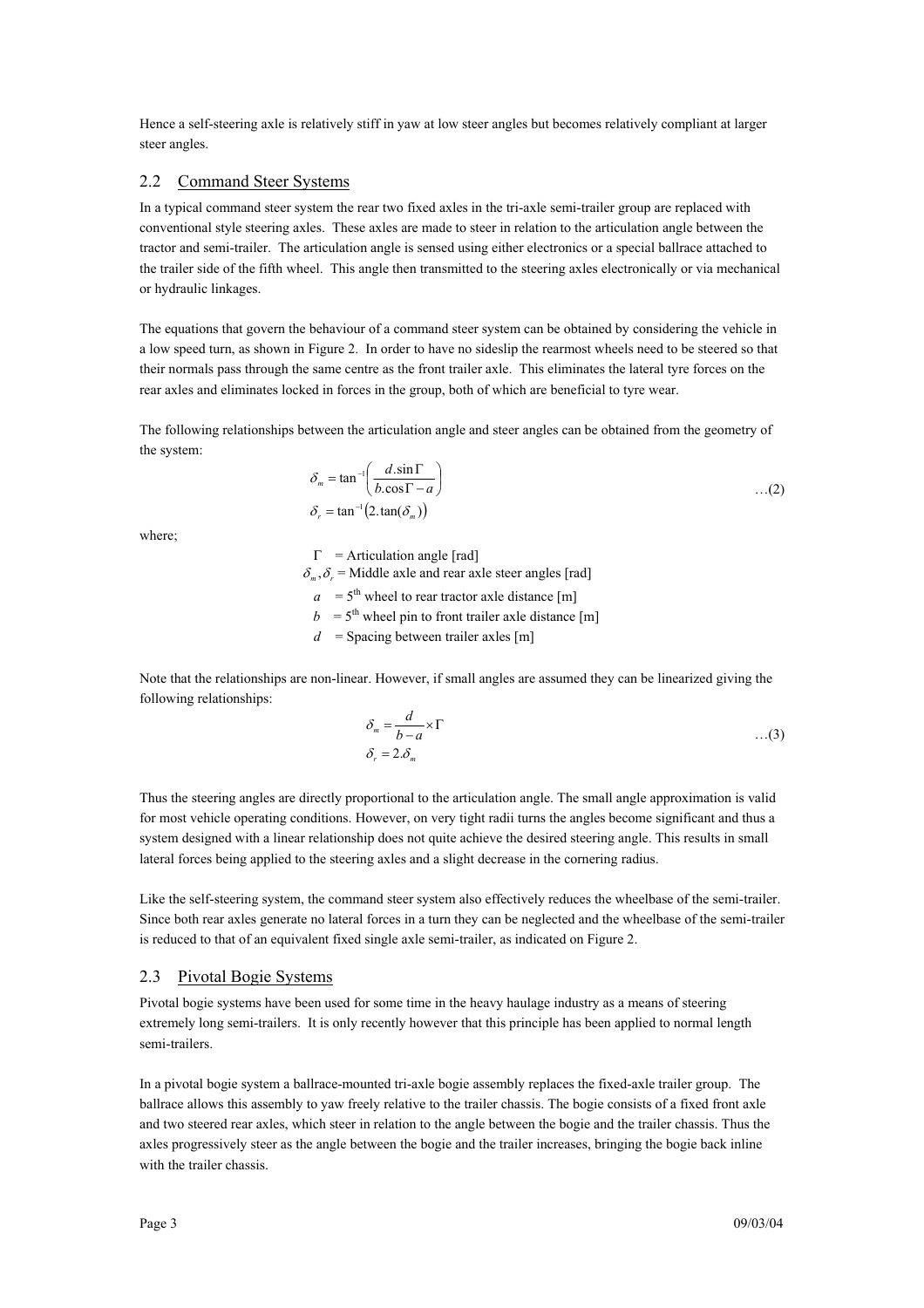Hence a self-steering axle is relatively stiff in yaw at low steer angles but becomes relatively compliant at larger steer angles.

#### 2.2 Command Steer Systems

In a typical command steer system the rear two fixed axles in the tri-axle semi-trailer group are replaced with conventional style steering axles. These axles are made to steer in relation to the articulation angle between the tractor and semi-trailer. The articulation angle is sensed using either electronics or a special ballrace attached to the trailer side of the fifth wheel. This angle then transmitted to the steering axles electronically or via mechanical or hydraulic linkages.

The equations that govern the behaviour of a command steer system can be obtained by considering the vehicle in a low speed turn, as shown in Figure 2. In order to have no sideslip the rearmost wheels need to be steered so that their normals pass through the same centre as the front trailer axle. This eliminates the lateral tyre forces on the rear axles and eliminates locked in forces in the group, both of which are beneficial to tyre wear.

The following relationships between the articulation angle and steer angles can be obtained from the geometry of the system:

$$
\delta_m = \tan^{-1}\left(\frac{d \cdot \sin \Gamma}{b \cdot \cos \Gamma - a}\right) \tag{2}
$$
  

$$
\delta_r = \tan^{-1}\left(2 \cdot \tan(\delta_m)\right)
$$

where;

 $\Gamma$  = Articulation angle [rad]  $\delta_m$ ,  $\delta_r$  = Middle axle and rear axle steer angles [rad]  $a = 5$ <sup>th</sup> wheel to rear tractor axle distance [m]  $b = 5<sup>th</sup>$  wheel pin to front trailer axle distance [m]  $d =$  Spacing between trailer axles [m]

Note that the relationships are non-linear. However, if small angles are assumed they can be linearized giving the following relationships:

$$
\delta_m = \frac{d}{b-a} \times \Gamma
$$
  
\n
$$
\delta_r = 2.\delta_m
$$
...(3)

Thus the steering angles are directly proportional to the articulation angle. The small angle approximation is valid for most vehicle operating conditions. However, on very tight radii turns the angles become significant and thus a system designed with a linear relationship does not quite achieve the desired steering angle. This results in small lateral forces being applied to the steering axles and a slight decrease in the cornering radius.

Like the self-steering system, the command steer system also effectively reduces the wheelbase of the semi-trailer. Since both rear axles generate no lateral forces in a turn they can be neglected and the wheelbase of the semi-trailer is reduced to that of an equivalent fixed single axle semi-trailer, as indicated on Figure 2.

#### 2.3 Pivotal Bogie Systems

Pivotal bogie systems have been used for some time in the heavy haulage industry as a means of steering extremely long semi-trailers. It is only recently however that this principle has been applied to normal length semi-trailers.

In a pivotal bogie system a ballrace-mounted tri-axle bogie assembly replaces the fixed-axle trailer group. The ballrace allows this assembly to yaw freely relative to the trailer chassis. The bogie consists of a fixed front axle and two steered rear axles, which steer in relation to the angle between the bogie and the trailer chassis. Thus the axles progressively steer as the angle between the bogie and the trailer increases, bringing the bogie back inline with the trailer chassis.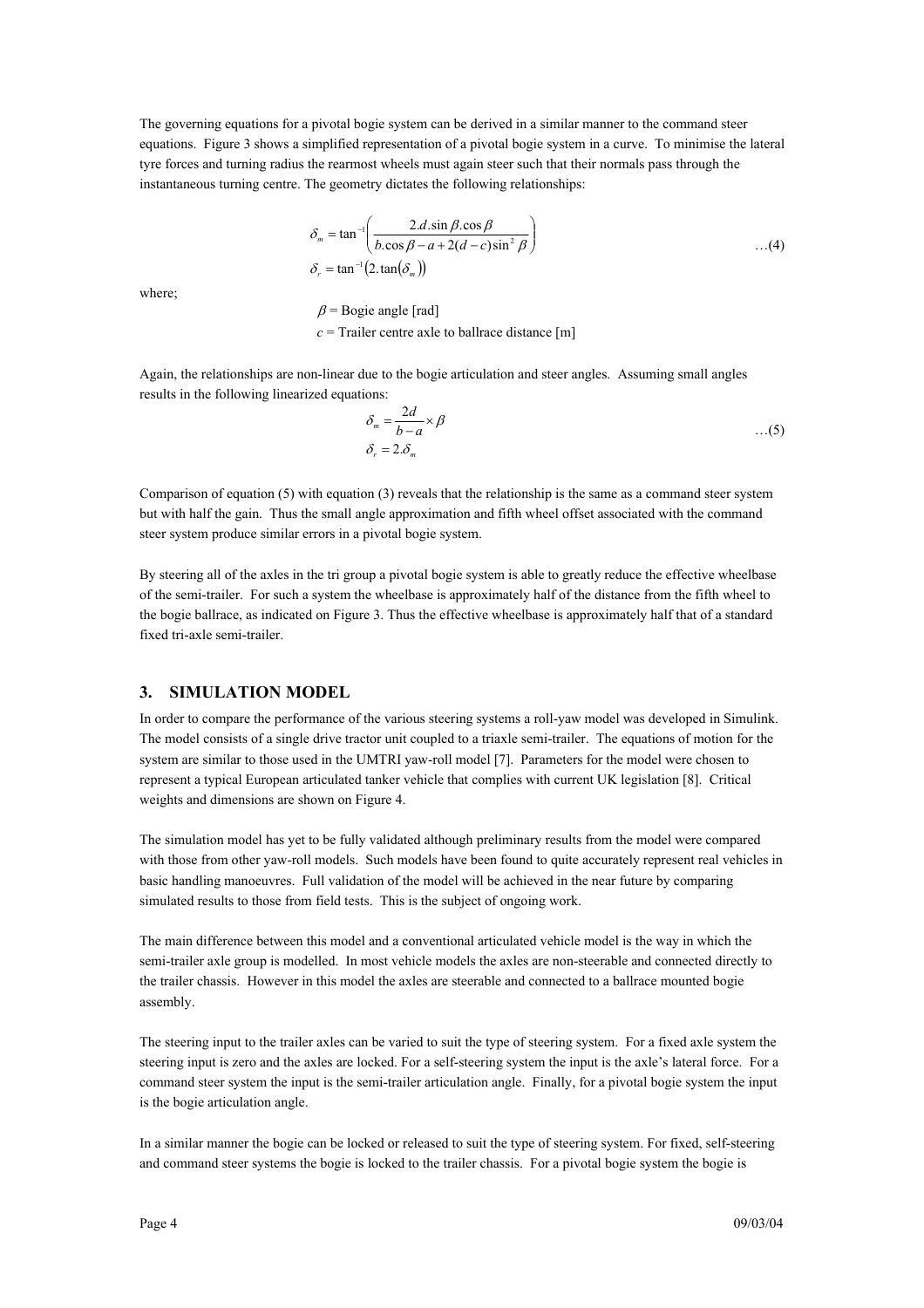The governing equations for a pivotal bogie system can be derived in a similar manner to the command steer equations. Figure 3 shows a simplified representation of a pivotal bogie system in a curve. To minimise the lateral tyre forces and turning radius the rearmost wheels must again steer such that their normals pass through the instantaneous turning centre. The geometry dictates the following relationships:

$$
\delta_m = \tan^{-1}\left(\frac{2.d.\sin\beta.\cos\beta}{b.\cos\beta - a + 2(d - c)\sin^2\beta}\right) \tag{4}
$$
  

$$
\delta_r = \tan^{-1}\left(2.\tan\left(\delta_m\right)\right)
$$

where;

 $\beta$  = Bogie angle [rad]  $c =$ Trailer centre axle to ballrace distance [m]

Again, the relationships are non-linear due to the bogie articulation and steer angles. Assuming small angles results in the following linearized equations:

$$
\delta_m = \frac{2d}{b-a} \times \beta \qquad ...(5)
$$
  

$$
\delta_r = 2.\delta_m
$$

Comparison of equation (5) with equation (3) reveals that the relationship is the same as a command steer system but with half the gain. Thus the small angle approximation and fifth wheel offset associated with the command steer system produce similar errors in a pivotal bogie system.

By steering all of the axles in the tri group a pivotal bogie system is able to greatly reduce the effective wheelbase of the semi-trailer. For such a system the wheelbase is approximately half of the distance from the fifth wheel to the bogie ballrace, as indicated on Figure 3. Thus the effective wheelbase is approximately half that of a standard fixed tri-axle semi-trailer.

#### **3. SIMULATION MODEL**

In order to compare the performance of the various steering systems a roll-yaw model was developed in Simulink. The model consists of a single drive tractor unit coupled to a triaxle semi-trailer. The equations of motion for the system are similar to those used in the UMTRI yaw-roll model [7]. Parameters for the model were chosen to represent a typical European articulated tanker vehicle that complies with current UK legislation [8]. Critical weights and dimensions are shown on Figure 4.

The simulation model has yet to be fully validated although preliminary results from the model were compared with those from other yaw-roll models. Such models have been found to quite accurately represent real vehicles in basic handling manoeuvres. Full validation of the model will be achieved in the near future by comparing simulated results to those from field tests. This is the subject of ongoing work.

The main difference between this model and a conventional articulated vehicle model is the way in which the semi-trailer axle group is modelled. In most vehicle models the axles are non-steerable and connected directly to the trailer chassis. However in this model the axles are steerable and connected to a ballrace mounted bogie assembly.

The steering input to the trailer axles can be varied to suit the type of steering system. For a fixed axle system the steering input is zero and the axles are locked. For a self-steering system the input is the axle's lateral force. For a command steer system the input is the semi-trailer articulation angle. Finally, for a pivotal bogie system the input is the bogie articulation angle.

In a similar manner the bogie can be locked or released to suit the type of steering system. For fixed, self-steering and command steer systems the bogie is locked to the trailer chassis. For a pivotal bogie system the bogie is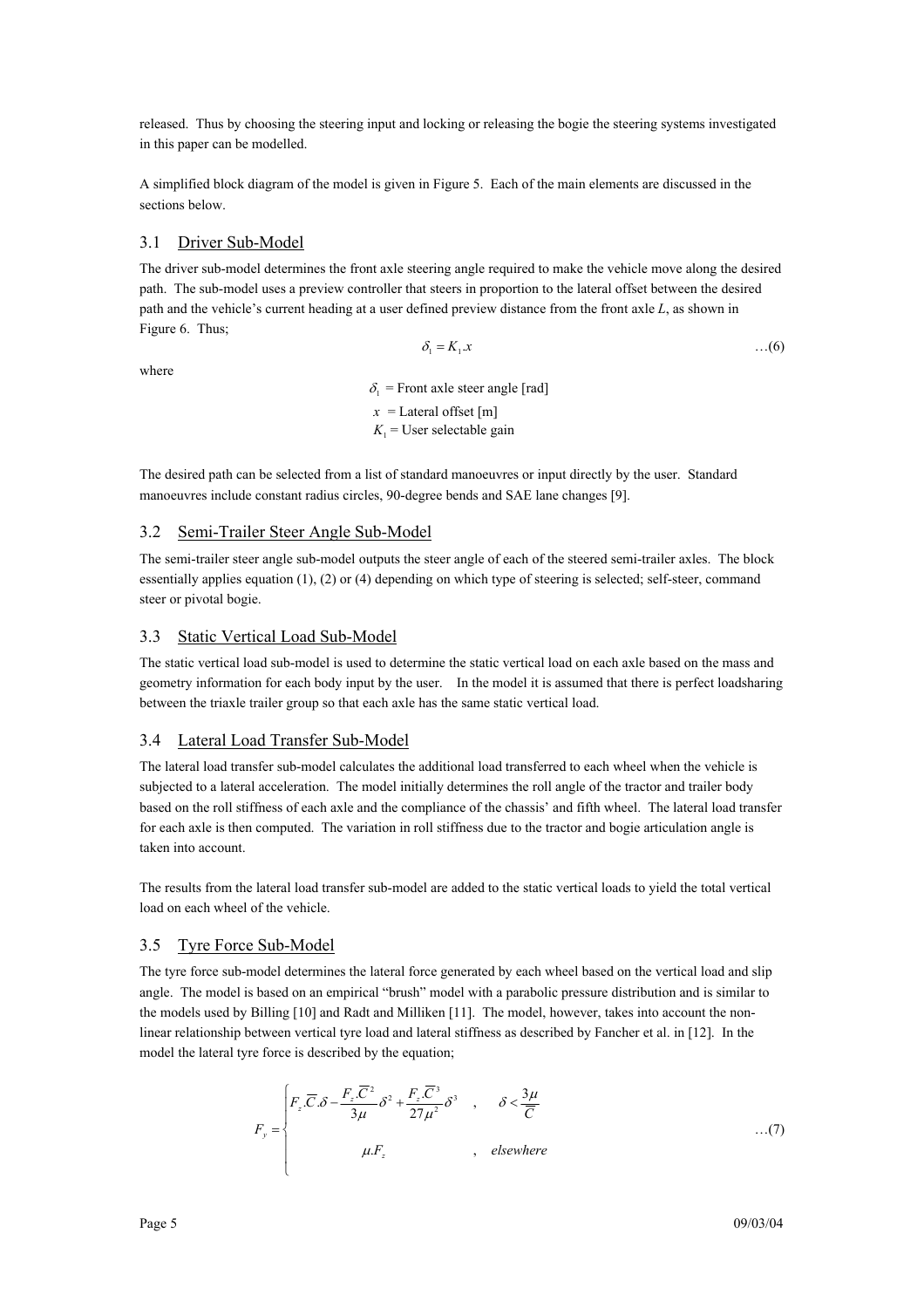released. Thus by choosing the steering input and locking or releasing the bogie the steering systems investigated in this paper can be modelled.

A simplified block diagram of the model is given in Figure 5. Each of the main elements are discussed in the sections below.

#### 3.1 Driver Sub-Model

The driver sub-model determines the front axle steering angle required to make the vehicle move along the desired path. The sub-model uses a preview controller that steers in proportion to the lateral offset between the desired path and the vehicle's current heading at a user defined preview distance from the front axle *L*, as shown in Figure 6. Thus;

where

 $\delta_1 = K_1 x$  ...(6)

 $\delta_1$  = Front axle steer angle [rad]  $x =$ Lateral offset [m]  $K_1$  = User selectable gain

The desired path can be selected from a list of standard manoeuvres or input directly by the user. Standard manoeuvres include constant radius circles, 90-degree bends and SAE lane changes [9].

#### 3.2 Semi-Trailer Steer Angle Sub-Model

The semi-trailer steer angle sub-model outputs the steer angle of each of the steered semi-trailer axles. The block essentially applies equation (1), (2) or (4) depending on which type of steering is selected; self-steer, command steer or pivotal bogie.

#### 3.3 Static Vertical Load Sub-Model

The static vertical load sub-model is used to determine the static vertical load on each axle based on the mass and geometry information for each body input by the user. In the model it is assumed that there is perfect loadsharing between the triaxle trailer group so that each axle has the same static vertical load.

#### 3.4 Lateral Load Transfer Sub-Model

The lateral load transfer sub-model calculates the additional load transferred to each wheel when the vehicle is subjected to a lateral acceleration. The model initially determines the roll angle of the tractor and trailer body based on the roll stiffness of each axle and the compliance of the chassis' and fifth wheel. The lateral load transfer for each axle is then computed. The variation in roll stiffness due to the tractor and bogie articulation angle is taken into account.

The results from the lateral load transfer sub-model are added to the static vertical loads to yield the total vertical load on each wheel of the vehicle.

#### 3.5 Tyre Force Sub-Model

The tyre force sub-model determines the lateral force generated by each wheel based on the vertical load and slip angle. The model is based on an empirical "brush" model with a parabolic pressure distribution and is similar to the models used by Billing [10] and Radt and Milliken [11]. The model, however, takes into account the nonlinear relationship between vertical tyre load and lateral stiffness as described by Fancher et al. in [12]. In the model the lateral tyre force is described by the equation;

$$
F_y = \begin{cases} F_z \cdot \overline{C} \cdot \delta - \frac{F_z \cdot \overline{C}^2}{3\mu} \delta^2 + \frac{F_z \cdot \overline{C}^3}{27\mu^2} \delta^3 & , & \delta < \frac{3\mu}{\overline{C}} \\ \mu.F_z & , & \text{elsewhere} \end{cases} \tag{7}
$$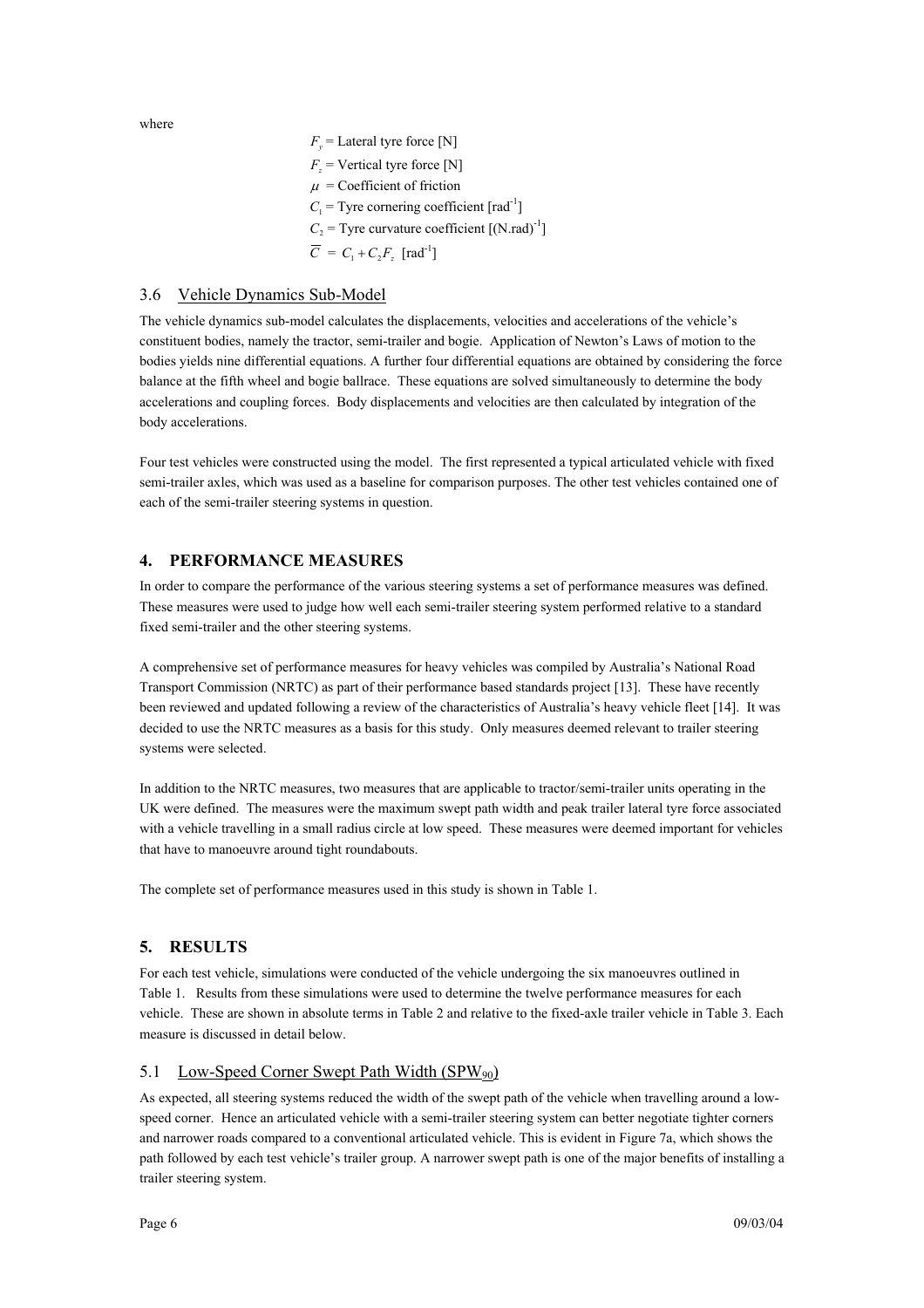where

 $F_y$  = Lateral tyre force [N]  $F =$ Vertical tyre force [N]  $\mu$  = Coefficient of friction  $C_1$  = Tyre cornering coefficient  $\lceil \text{rad}^{-1} \rceil$  $C_2$  = Tyre curvature coefficient  $[(N.*rad*)^{-1}]$  $\overline{C} = C_1 + C_2 F_1$  [rad<sup>-1</sup>]

### 3.6 Vehicle Dynamics Sub-Model

The vehicle dynamics sub-model calculates the displacements, velocities and accelerations of the vehicle's constituent bodies, namely the tractor, semi-trailer and bogie. Application of Newton's Laws of motion to the bodies yields nine differential equations. A further four differential equations are obtained by considering the force balance at the fifth wheel and bogie ballrace. These equations are solved simultaneously to determine the body accelerations and coupling forces. Body displacements and velocities are then calculated by integration of the body accelerations.

Four test vehicles were constructed using the model. The first represented a typical articulated vehicle with fixed semi-trailer axles, which was used as a baseline for comparison purposes. The other test vehicles contained one of each of the semi-trailer steering systems in question.

### **4. PERFORMANCE MEASURES**

In order to compare the performance of the various steering systems a set of performance measures was defined. These measures were used to judge how well each semi-trailer steering system performed relative to a standard fixed semi-trailer and the other steering systems.

A comprehensive set of performance measures for heavy vehicles was compiled by Australia's National Road Transport Commission (NRTC) as part of their performance based standards project [13]. These have recently been reviewed and updated following a review of the characteristics of Australia's heavy vehicle fleet [14]. It was decided to use the NRTC measures as a basis for this study. Only measures deemed relevant to trailer steering systems were selected.

In addition to the NRTC measures, two measures that are applicable to tractor/semi-trailer units operating in the UK were defined. The measures were the maximum swept path width and peak trailer lateral tyre force associated with a vehicle travelling in a small radius circle at low speed. These measures were deemed important for vehicles that have to manoeuvre around tight roundabouts.

The complete set of performance measures used in this study is shown in Table 1.

### **5. RESULTS**

For each test vehicle, simulations were conducted of the vehicle undergoing the six manoeuvres outlined in Table 1. Results from these simulations were used to determine the twelve performance measures for each vehicle. These are shown in absolute terms in Table 2 and relative to the fixed-axle trailer vehicle in Table 3. Each measure is discussed in detail below.

#### 5.1 Low-Speed Corner Swept Path Width  $(SPW_{90})$

As expected, all steering systems reduced the width of the swept path of the vehicle when travelling around a lowspeed corner. Hence an articulated vehicle with a semi-trailer steering system can better negotiate tighter corners and narrower roads compared to a conventional articulated vehicle. This is evident in Figure 7a, which shows the path followed by each test vehicle's trailer group. A narrower swept path is one of the major benefits of installing a trailer steering system.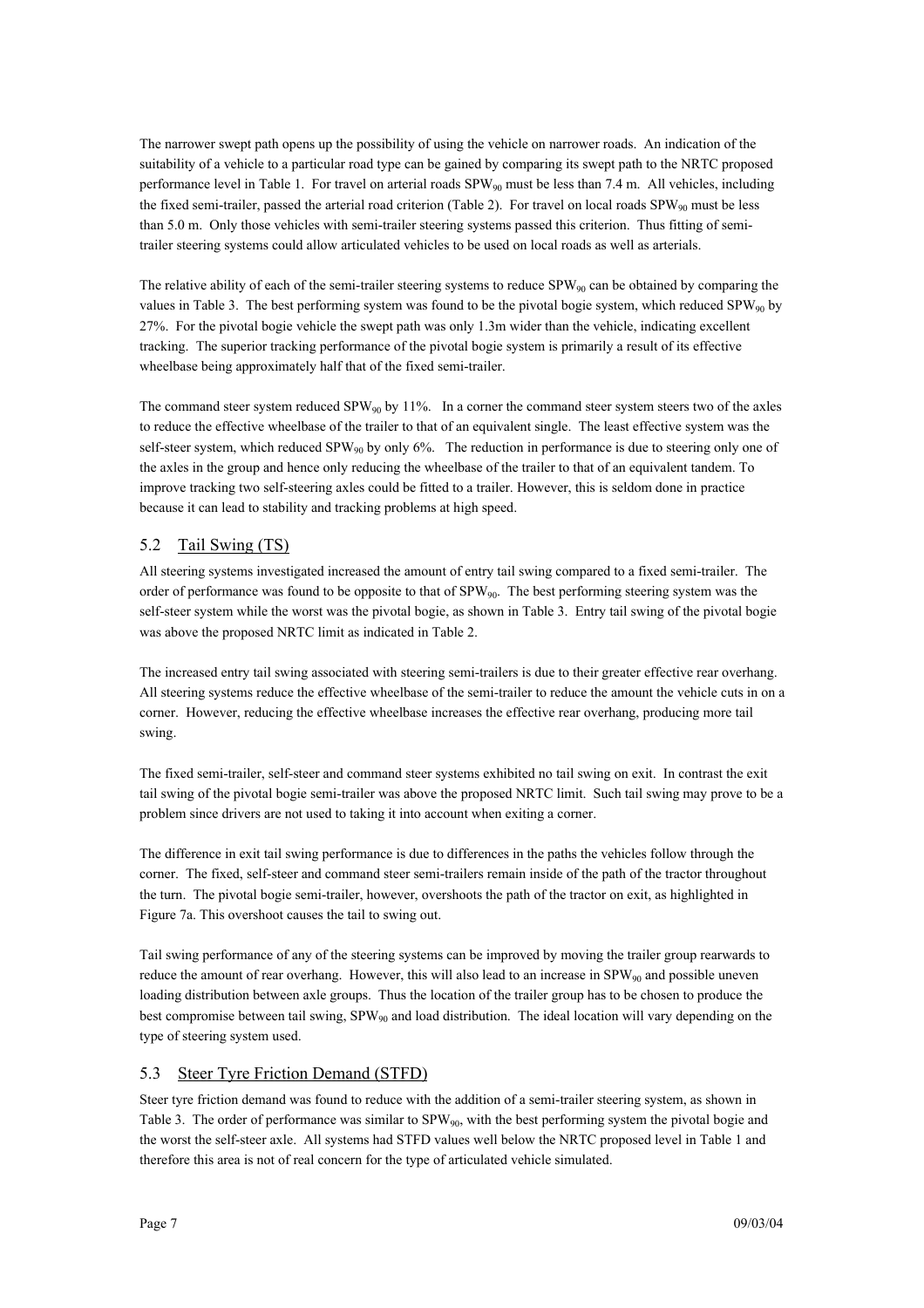The narrower swept path opens up the possibility of using the vehicle on narrower roads. An indication of the suitability of a vehicle to a particular road type can be gained by comparing its swept path to the NRTC proposed performance level in Table 1. For travel on arterial roads  $SPW_{90}$  must be less than 7.4 m. All vehicles, including the fixed semi-trailer, passed the arterial road criterion (Table 2). For travel on local roads  $SPW_{90}$  must be less than 5.0 m. Only those vehicles with semi-trailer steering systems passed this criterion. Thus fitting of semitrailer steering systems could allow articulated vehicles to be used on local roads as well as arterials.

The relative ability of each of the semi-trailer steering systems to reduce  $SPW_{90}$  can be obtained by comparing the values in Table 3. The best performing system was found to be the pivotal bogie system, which reduced  $SPW_{90}$  by 27%. For the pivotal bogie vehicle the swept path was only 1.3m wider than the vehicle, indicating excellent tracking. The superior tracking performance of the pivotal bogie system is primarily a result of its effective wheelbase being approximately half that of the fixed semi-trailer.

The command steer system reduced SPW<sub>90</sub> by 11%. In a corner the command steer system steers two of the axles to reduce the effective wheelbase of the trailer to that of an equivalent single. The least effective system was the self-steer system, which reduced  $SPW_{90}$  by only 6%. The reduction in performance is due to steering only one of the axles in the group and hence only reducing the wheelbase of the trailer to that of an equivalent tandem. To improve tracking two self-steering axles could be fitted to a trailer. However, this is seldom done in practice because it can lead to stability and tracking problems at high speed.

## 5.2 Tail Swing (TS)

All steering systems investigated increased the amount of entry tail swing compared to a fixed semi-trailer. The order of performance was found to be opposite to that of SPW90. The best performing steering system was the self-steer system while the worst was the pivotal bogie, as shown in Table 3. Entry tail swing of the pivotal bogie was above the proposed NRTC limit as indicated in Table 2.

The increased entry tail swing associated with steering semi-trailers is due to their greater effective rear overhang. All steering systems reduce the effective wheelbase of the semi-trailer to reduce the amount the vehicle cuts in on a corner. However, reducing the effective wheelbase increases the effective rear overhang, producing more tail swing.

The fixed semi-trailer, self-steer and command steer systems exhibited no tail swing on exit. In contrast the exit tail swing of the pivotal bogie semi-trailer was above the proposed NRTC limit. Such tail swing may prove to be a problem since drivers are not used to taking it into account when exiting a corner.

The difference in exit tail swing performance is due to differences in the paths the vehicles follow through the corner. The fixed, self-steer and command steer semi-trailers remain inside of the path of the tractor throughout the turn. The pivotal bogie semi-trailer, however, overshoots the path of the tractor on exit, as highlighted in Figure 7a. This overshoot causes the tail to swing out.

Tail swing performance of any of the steering systems can be improved by moving the trailer group rearwards to reduce the amount of rear overhang. However, this will also lead to an increase in SPW<sub>90</sub> and possible uneven loading distribution between axle groups. Thus the location of the trailer group has to be chosen to produce the best compromise between tail swing, SPW<sub>90</sub> and load distribution. The ideal location will vary depending on the type of steering system used.

### 5.3 Steer Tyre Friction Demand (STFD)

Steer tyre friction demand was found to reduce with the addition of a semi-trailer steering system, as shown in Table 3. The order of performance was similar to  $SPW_{90}$ , with the best performing system the pivotal bogie and the worst the self-steer axle. All systems had STFD values well below the NRTC proposed level in Table 1 and therefore this area is not of real concern for the type of articulated vehicle simulated.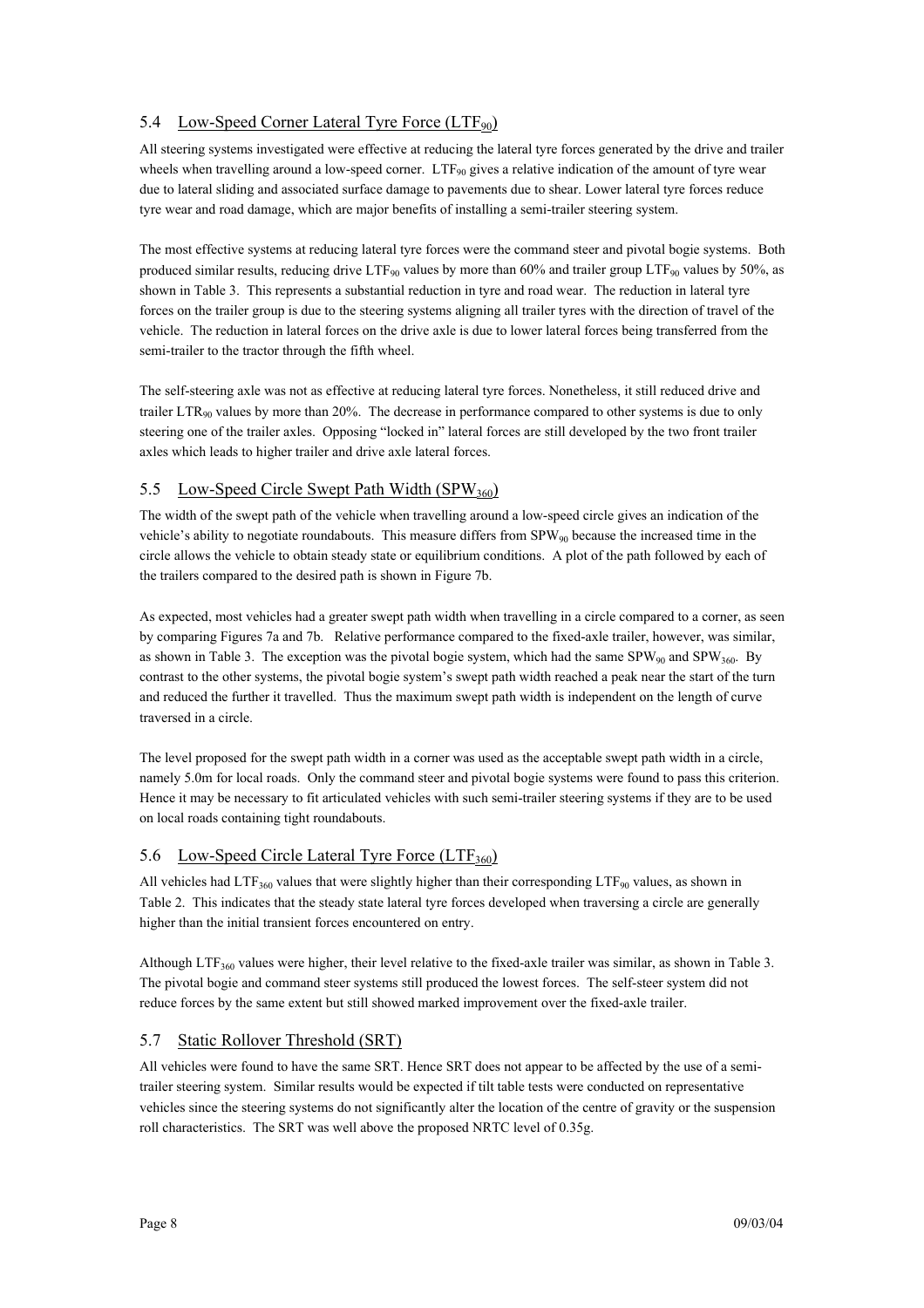# 5.4 Low-Speed Corner Lateral Tyre Force (LTF<sub>90</sub>)

All steering systems investigated were effective at reducing the lateral tyre forces generated by the drive and trailer wheels when travelling around a low-speed corner.  $LTF_{90}$  gives a relative indication of the amount of tyre wear due to lateral sliding and associated surface damage to pavements due to shear. Lower lateral tyre forces reduce tyre wear and road damage, which are major benefits of installing a semi-trailer steering system.

The most effective systems at reducing lateral tyre forces were the command steer and pivotal bogie systems. Both produced similar results, reducing drive LTF<sub>90</sub> values by more than 60% and trailer group LTF<sub>90</sub> values by 50%, as shown in Table 3. This represents a substantial reduction in tyre and road wear. The reduction in lateral tyre forces on the trailer group is due to the steering systems aligning all trailer tyres with the direction of travel of the vehicle. The reduction in lateral forces on the drive axle is due to lower lateral forces being transferred from the semi-trailer to the tractor through the fifth wheel.

The self-steering axle was not as effective at reducing lateral tyre forces. Nonetheless, it still reduced drive and trailer LTR<sub>90</sub> values by more than 20%. The decrease in performance compared to other systems is due to only steering one of the trailer axles. Opposing "locked in" lateral forces are still developed by the two front trailer axles which leads to higher trailer and drive axle lateral forces.

# 5.5 Low-Speed Circle Swept Path Width (SPW<sub>360</sub>)

The width of the swept path of the vehicle when travelling around a low-speed circle gives an indication of the vehicle's ability to negotiate roundabouts. This measure differs from  $SPW_{90}$  because the increased time in the circle allows the vehicle to obtain steady state or equilibrium conditions. A plot of the path followed by each of the trailers compared to the desired path is shown in Figure 7b.

As expected, most vehicles had a greater swept path width when travelling in a circle compared to a corner, as seen by comparing Figures 7a and 7b. Relative performance compared to the fixed-axle trailer, however, was similar, as shown in Table 3. The exception was the pivotal bogie system, which had the same  $SPW_{90}$  and  $SPW_{360}$ . By contrast to the other systems, the pivotal bogie system's swept path width reached a peak near the start of the turn and reduced the further it travelled. Thus the maximum swept path width is independent on the length of curve traversed in a circle.

The level proposed for the swept path width in a corner was used as the acceptable swept path width in a circle, namely 5.0m for local roads. Only the command steer and pivotal bogie systems were found to pass this criterion. Hence it may be necessary to fit articulated vehicles with such semi-trailer steering systems if they are to be used on local roads containing tight roundabouts.

# 5.6 Low-Speed Circle Lateral Tyre Force (LTF<sub>360</sub>)

All vehicles had LTF<sub>360</sub> values that were slightly higher than their corresponding LTF<sub>90</sub> values, as shown in Table 2. This indicates that the steady state lateral tyre forces developed when traversing a circle are generally higher than the initial transient forces encountered on entry.

Although LTF<sub>360</sub> values were higher, their level relative to the fixed-axle trailer was similar, as shown in Table 3. The pivotal bogie and command steer systems still produced the lowest forces. The self-steer system did not reduce forces by the same extent but still showed marked improvement over the fixed-axle trailer.

# 5.7 Static Rollover Threshold (SRT)

All vehicles were found to have the same SRT. Hence SRT does not appear to be affected by the use of a semitrailer steering system. Similar results would be expected if tilt table tests were conducted on representative vehicles since the steering systems do not significantly alter the location of the centre of gravity or the suspension roll characteristics. The SRT was well above the proposed NRTC level of 0.35g.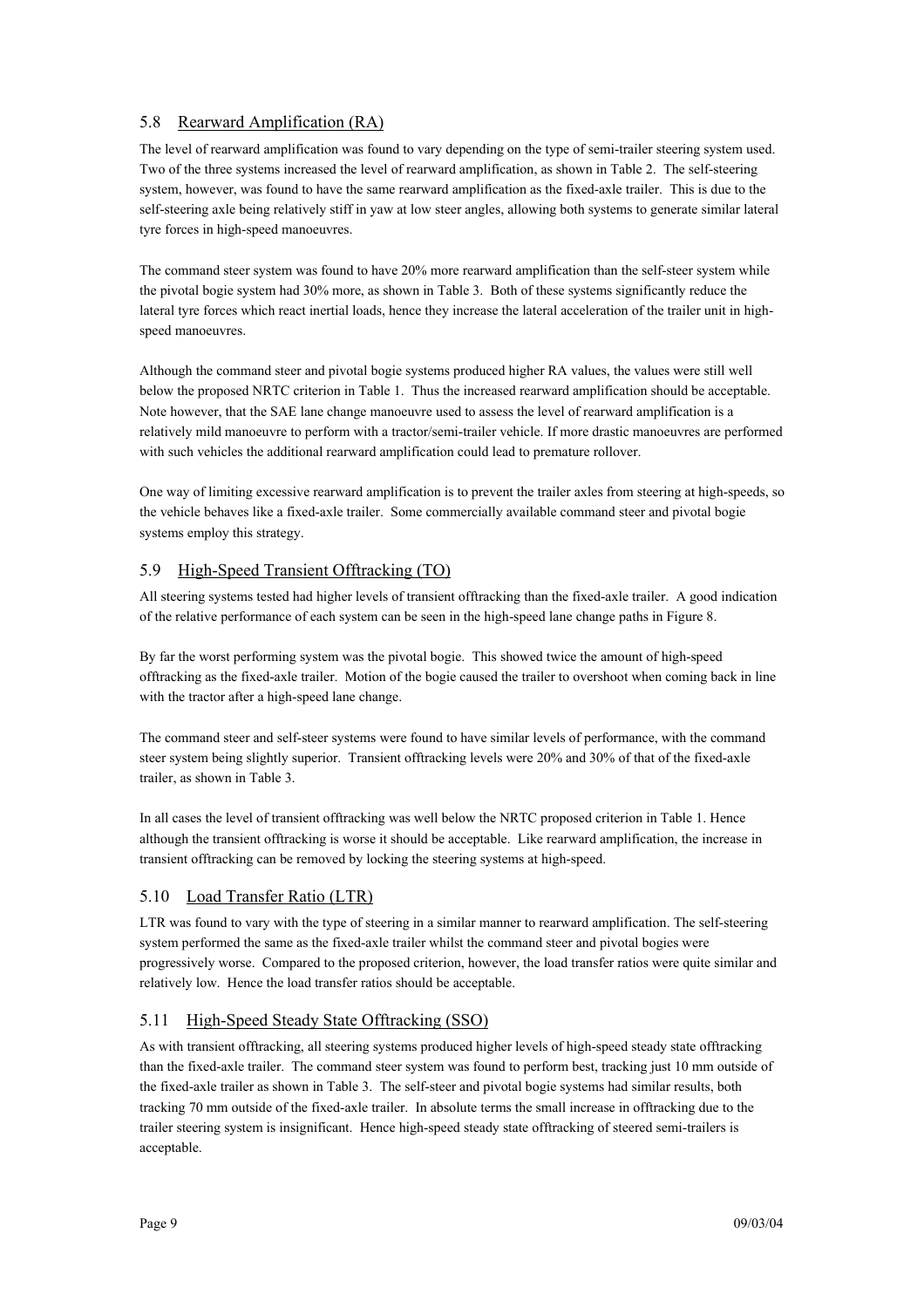## 5.8 Rearward Amplification (RA)

The level of rearward amplification was found to vary depending on the type of semi-trailer steering system used. Two of the three systems increased the level of rearward amplification, as shown in Table 2. The self-steering system, however, was found to have the same rearward amplification as the fixed-axle trailer. This is due to the self-steering axle being relatively stiff in yaw at low steer angles, allowing both systems to generate similar lateral tyre forces in high-speed manoeuvres.

The command steer system was found to have 20% more rearward amplification than the self-steer system while the pivotal bogie system had 30% more, as shown in Table 3. Both of these systems significantly reduce the lateral tyre forces which react inertial loads, hence they increase the lateral acceleration of the trailer unit in highspeed manoeuvres.

Although the command steer and pivotal bogie systems produced higher RA values, the values were still well below the proposed NRTC criterion in Table 1. Thus the increased rearward amplification should be acceptable. Note however, that the SAE lane change manoeuvre used to assess the level of rearward amplification is a relatively mild manoeuvre to perform with a tractor/semi-trailer vehicle. If more drastic manoeuvres are performed with such vehicles the additional rearward amplification could lead to premature rollover.

One way of limiting excessive rearward amplification is to prevent the trailer axles from steering at high-speeds, so the vehicle behaves like a fixed-axle trailer. Some commercially available command steer and pivotal bogie systems employ this strategy.

## 5.9 High-Speed Transient Offtracking (TO)

All steering systems tested had higher levels of transient offtracking than the fixed-axle trailer. A good indication of the relative performance of each system can be seen in the high-speed lane change paths in Figure 8.

By far the worst performing system was the pivotal bogie. This showed twice the amount of high-speed offtracking as the fixed-axle trailer. Motion of the bogie caused the trailer to overshoot when coming back in line with the tractor after a high-speed lane change.

The command steer and self-steer systems were found to have similar levels of performance, with the command steer system being slightly superior. Transient offtracking levels were 20% and 30% of that of the fixed-axle trailer, as shown in Table 3.

In all cases the level of transient offtracking was well below the NRTC proposed criterion in Table 1. Hence although the transient offtracking is worse it should be acceptable. Like rearward amplification, the increase in transient offtracking can be removed by locking the steering systems at high-speed.

### 5.10 Load Transfer Ratio (LTR)

LTR was found to vary with the type of steering in a similar manner to rearward amplification. The self-steering system performed the same as the fixed-axle trailer whilst the command steer and pivotal bogies were progressively worse. Compared to the proposed criterion, however, the load transfer ratios were quite similar and relatively low. Hence the load transfer ratios should be acceptable.

### 5.11 High-Speed Steady State Offtracking (SSO)

As with transient offtracking, all steering systems produced higher levels of high-speed steady state offtracking than the fixed-axle trailer. The command steer system was found to perform best, tracking just 10 mm outside of the fixed-axle trailer as shown in Table 3. The self-steer and pivotal bogie systems had similar results, both tracking 70 mm outside of the fixed-axle trailer. In absolute terms the small increase in offtracking due to the trailer steering system is insignificant. Hence high-speed steady state offtracking of steered semi-trailers is acceptable.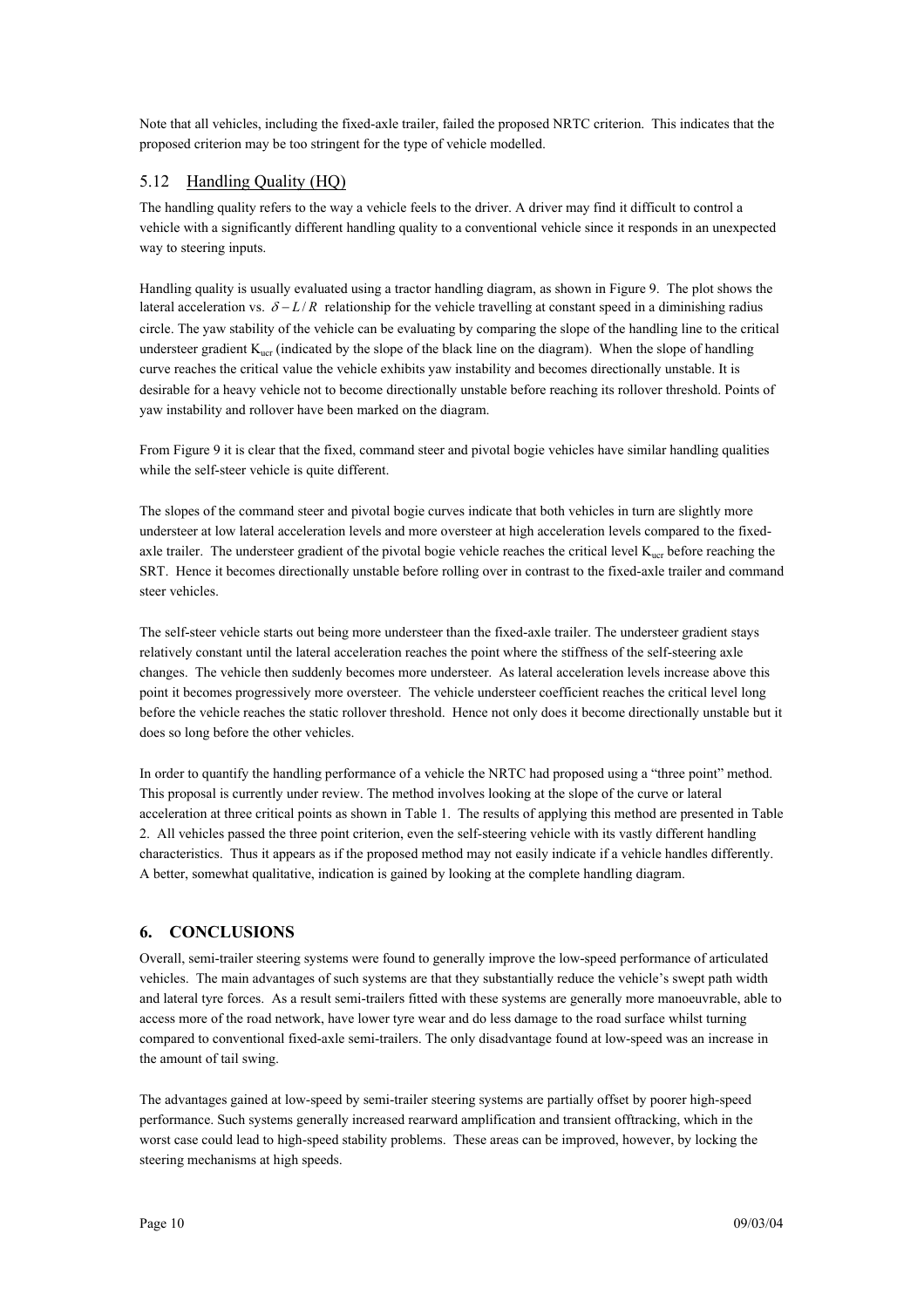Note that all vehicles, including the fixed-axle trailer, failed the proposed NRTC criterion. This indicates that the proposed criterion may be too stringent for the type of vehicle modelled.

### 5.12 Handling Quality (HQ)

The handling quality refers to the way a vehicle feels to the driver. A driver may find it difficult to control a vehicle with a significantly different handling quality to a conventional vehicle since it responds in an unexpected way to steering inputs.

Handling quality is usually evaluated using a tractor handling diagram, as shown in Figure 9. The plot shows the lateral acceleration vs.  $\delta - L/R$  relationship for the vehicle travelling at constant speed in a diminishing radius circle. The yaw stability of the vehicle can be evaluating by comparing the slope of the handling line to the critical understeer gradient  $K<sub>uer</sub>$  (indicated by the slope of the black line on the diagram). When the slope of handling curve reaches the critical value the vehicle exhibits yaw instability and becomes directionally unstable. It is desirable for a heavy vehicle not to become directionally unstable before reaching its rollover threshold. Points of yaw instability and rollover have been marked on the diagram.

From Figure 9 it is clear that the fixed, command steer and pivotal bogie vehicles have similar handling qualities while the self-steer vehicle is quite different.

The slopes of the command steer and pivotal bogie curves indicate that both vehicles in turn are slightly more understeer at low lateral acceleration levels and more oversteer at high acceleration levels compared to the fixedaxle trailer. The understeer gradient of the pivotal bogie vehicle reaches the critical level  $K_{\text{ucr}}$  before reaching the SRT. Hence it becomes directionally unstable before rolling over in contrast to the fixed-axle trailer and command steer vehicles.

The self-steer vehicle starts out being more understeer than the fixed-axle trailer. The understeer gradient stays relatively constant until the lateral acceleration reaches the point where the stiffness of the self-steering axle changes. The vehicle then suddenly becomes more understeer. As lateral acceleration levels increase above this point it becomes progressively more oversteer. The vehicle understeer coefficient reaches the critical level long before the vehicle reaches the static rollover threshold. Hence not only does it become directionally unstable but it does so long before the other vehicles.

In order to quantify the handling performance of a vehicle the NRTC had proposed using a "three point" method. This proposal is currently under review. The method involves looking at the slope of the curve or lateral acceleration at three critical points as shown in Table 1. The results of applying this method are presented in Table 2. All vehicles passed the three point criterion, even the self-steering vehicle with its vastly different handling characteristics. Thus it appears as if the proposed method may not easily indicate if a vehicle handles differently. A better, somewhat qualitative, indication is gained by looking at the complete handling diagram.

### **6. CONCLUSIONS**

Overall, semi-trailer steering systems were found to generally improve the low-speed performance of articulated vehicles. The main advantages of such systems are that they substantially reduce the vehicle's swept path width and lateral tyre forces. As a result semi-trailers fitted with these systems are generally more manoeuvrable, able to access more of the road network, have lower tyre wear and do less damage to the road surface whilst turning compared to conventional fixed-axle semi-trailers. The only disadvantage found at low-speed was an increase in the amount of tail swing.

The advantages gained at low-speed by semi-trailer steering systems are partially offset by poorer high-speed performance. Such systems generally increased rearward amplification and transient offtracking, which in the worst case could lead to high-speed stability problems. These areas can be improved, however, by locking the steering mechanisms at high speeds.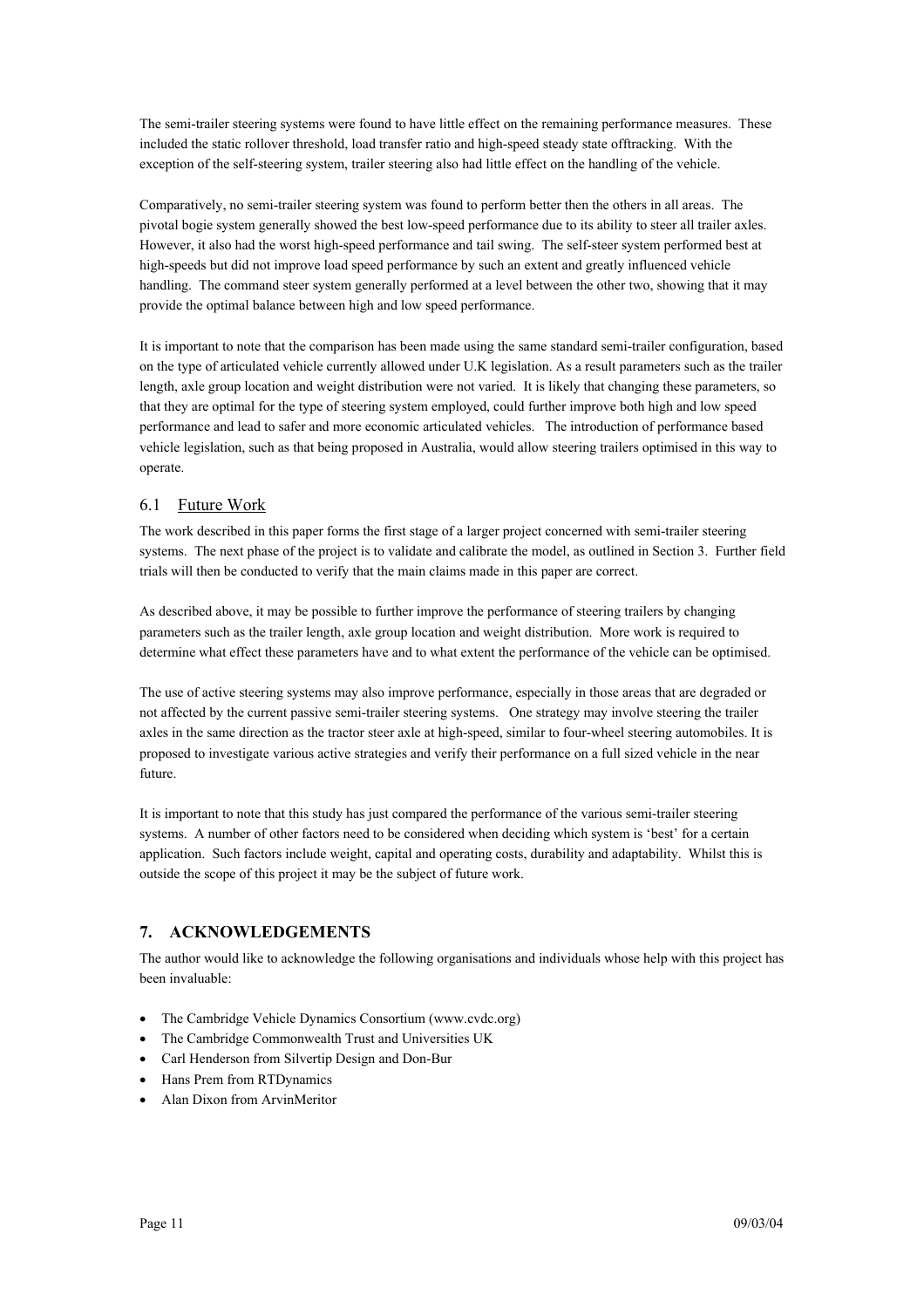The semi-trailer steering systems were found to have little effect on the remaining performance measures. These included the static rollover threshold, load transfer ratio and high-speed steady state offtracking. With the exception of the self-steering system, trailer steering also had little effect on the handling of the vehicle.

Comparatively, no semi-trailer steering system was found to perform better then the others in all areas. The pivotal bogie system generally showed the best low-speed performance due to its ability to steer all trailer axles. However, it also had the worst high-speed performance and tail swing. The self-steer system performed best at high-speeds but did not improve load speed performance by such an extent and greatly influenced vehicle handling. The command steer system generally performed at a level between the other two, showing that it may provide the optimal balance between high and low speed performance.

It is important to note that the comparison has been made using the same standard semi-trailer configuration, based on the type of articulated vehicle currently allowed under U.K legislation. As a result parameters such as the trailer length, axle group location and weight distribution were not varied. It is likely that changing these parameters, so that they are optimal for the type of steering system employed, could further improve both high and low speed performance and lead to safer and more economic articulated vehicles. The introduction of performance based vehicle legislation, such as that being proposed in Australia, would allow steering trailers optimised in this way to operate.

### 6.1 Future Work

The work described in this paper forms the first stage of a larger project concerned with semi-trailer steering systems. The next phase of the project is to validate and calibrate the model, as outlined in Section 3. Further field trials will then be conducted to verify that the main claims made in this paper are correct.

As described above, it may be possible to further improve the performance of steering trailers by changing parameters such as the trailer length, axle group location and weight distribution. More work is required to determine what effect these parameters have and to what extent the performance of the vehicle can be optimised.

The use of active steering systems may also improve performance, especially in those areas that are degraded or not affected by the current passive semi-trailer steering systems. One strategy may involve steering the trailer axles in the same direction as the tractor steer axle at high-speed, similar to four-wheel steering automobiles. It is proposed to investigate various active strategies and verify their performance on a full sized vehicle in the near future.

It is important to note that this study has just compared the performance of the various semi-trailer steering systems. A number of other factors need to be considered when deciding which system is 'best' for a certain application. Such factors include weight, capital and operating costs, durability and adaptability. Whilst this is outside the scope of this project it may be the subject of future work.

# **7. ACKNOWLEDGEMENTS**

The author would like to acknowledge the following organisations and individuals whose help with this project has been invaluable:

- The Cambridge Vehicle Dynamics Consortium (www.cvdc.org)
- The Cambridge Commonwealth Trust and Universities UK
- Carl Henderson from Silvertip Design and Don-Bur
- Hans Prem from RTDynamics
- Alan Dixon from ArvinMeritor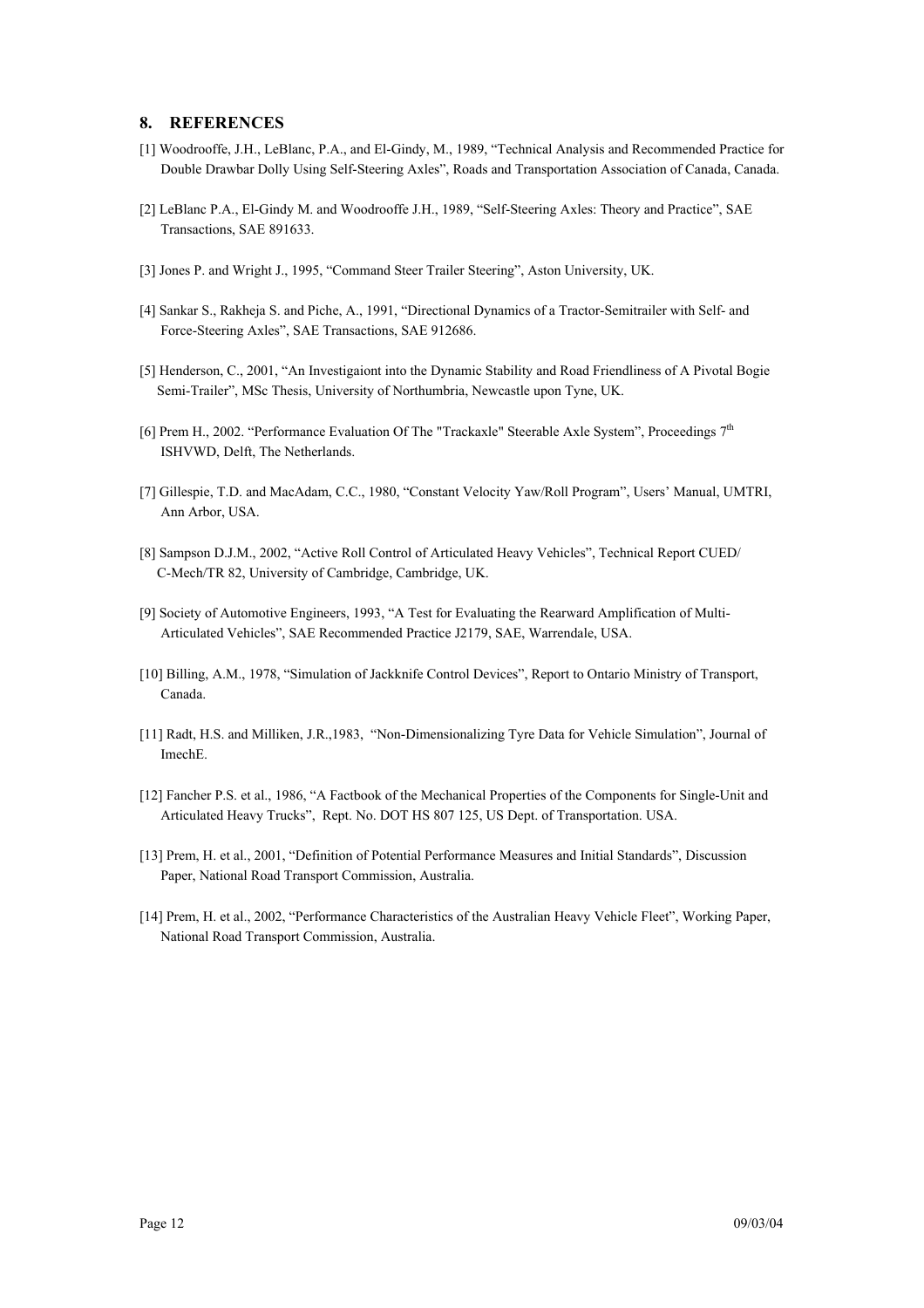#### **8. REFERENCES**

- [1] Woodrooffe, J.H., LeBlanc, P.A., and El-Gindy, M., 1989, "Technical Analysis and Recommended Practice for Double Drawbar Dolly Using Self-Steering Axles", Roads and Transportation Association of Canada, Canada.
- [2] LeBlanc P.A., El-Gindy M. and Woodrooffe J.H., 1989, "Self-Steering Axles: Theory and Practice", SAE Transactions, SAE 891633.
- [3] Jones P. and Wright J., 1995, "Command Steer Trailer Steering", Aston University, UK.
- [4] Sankar S., Rakheja S. and Piche, A., 1991, "Directional Dynamics of a Tractor-Semitrailer with Self- and Force-Steering Axles", SAE Transactions, SAE 912686.
- [5] Henderson, C., 2001, "An Investigaiont into the Dynamic Stability and Road Friendliness of A Pivotal Bogie Semi-Trailer", MSc Thesis, University of Northumbria, Newcastle upon Tyne, UK.
- [6] Prem H., 2002. "Performance Evaluation Of The "Trackaxle" Steerable Axle System", Proceedings 7th ISHVWD, Delft, The Netherlands.
- [7] Gillespie, T.D. and MacAdam, C.C., 1980, "Constant Velocity Yaw/Roll Program", Users' Manual, UMTRI, Ann Arbor, USA.
- [8] Sampson D.J.M., 2002, "Active Roll Control of Articulated Heavy Vehicles", Technical Report CUED/ C-Mech/TR 82, University of Cambridge, Cambridge, UK.
- [9] Society of Automotive Engineers, 1993, "A Test for Evaluating the Rearward Amplification of Multi- Articulated Vehicles", SAE Recommended Practice J2179, SAE, Warrendale, USA.
- [10] Billing, A.M., 1978, "Simulation of Jackknife Control Devices", Report to Ontario Ministry of Transport, Canada.
- [11] Radt, H.S. and Milliken, J.R.,1983, "Non-Dimensionalizing Tyre Data for Vehicle Simulation", Journal of ImechE.
- [12] Fancher P.S. et al., 1986, "A Factbook of the Mechanical Properties of the Components for Single-Unit and Articulated Heavy Trucks", Rept. No. DOT HS 807 125, US Dept. of Transportation. USA.
- [13] Prem, H. et al., 2001, "Definition of Potential Performance Measures and Initial Standards", Discussion Paper, National Road Transport Commission, Australia.
- [14] Prem, H. et al., 2002, "Performance Characteristics of the Australian Heavy Vehicle Fleet", Working Paper, National Road Transport Commission, Australia.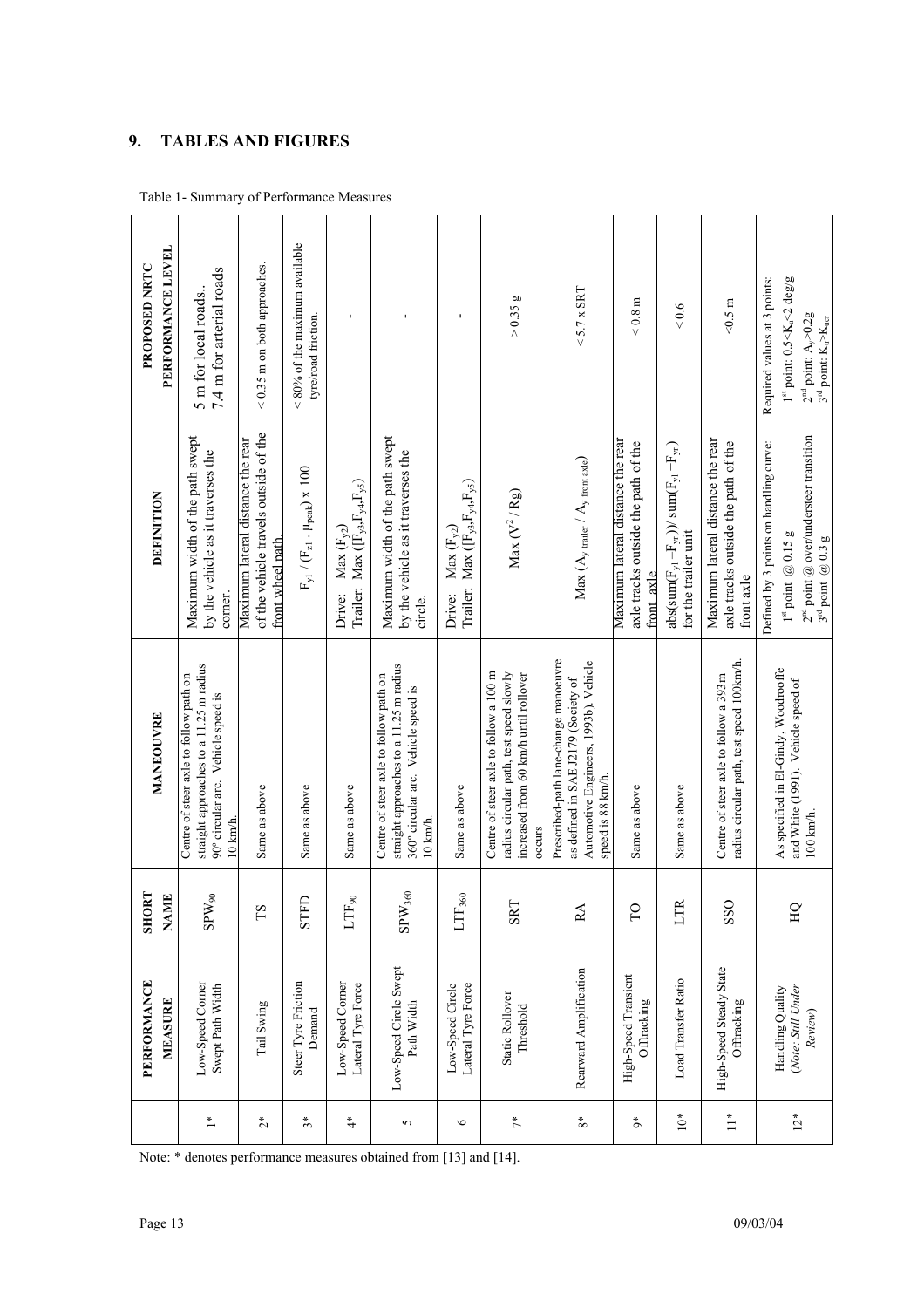# **9. TABLES AND FIGURES**

|                        | PERFORMANCE<br>MEASURE                            | <b>SHORT</b><br><b>NAME</b> | MANEOUVRE                                                                                                                                    | DEFINITION                                                                                                                              | PERFORMANCE LEVEL<br>PROPOSED NRTC                                                                                                                       |
|------------------------|---------------------------------------------------|-----------------------------|----------------------------------------------------------------------------------------------------------------------------------------------|-----------------------------------------------------------------------------------------------------------------------------------------|----------------------------------------------------------------------------------------------------------------------------------------------------------|
| $\stackrel{*}{\equiv}$ | Low-Speed Corner<br>Swept Path Width              | $\mathrm{SPW}_{90}$         | straight approaches to a 11.25 m radius<br>Centre of steer axle to follow path on<br>90° circular arc. Vehicle speed is<br>$10 \text{ km/h}$ | Maximum width of the path swept<br>by the vehicle as it traverses the<br>corner.                                                        | 7.4 m for arterial roads<br>5 m for local roads.                                                                                                         |
| $\stackrel{*}{\sim}$   | Tail Swing                                        | ΓS                          | Same as above                                                                                                                                | of the vehicle travels outside of the<br>Maximum lateral distance the rear<br>front wheel path.                                         | $< 0.35$ m on both approaches.                                                                                                                           |
| $\tilde{3}^*$          | Steer Tyre Friction<br>Demand                     | STFD                        | Same as above                                                                                                                                | $\mathrm{F}_{\mathrm{y1}}$ / $(\mathrm{F}_{\mathrm{z1}}$ . $\mu_{\mathrm{peak}})$ x 100                                                 | $< 80\%$ of the maximum available<br>tyre/road friction.                                                                                                 |
| $\ddot{ }$             | Low-Speed Corner<br>Lateral Tyre Force            | $_{\rm LTF_{90}}$           | Same as above                                                                                                                                | Trailer: Max ([F <sub>y3</sub> , F <sub>y4</sub> , F <sub>y5</sub> )<br>Max $(F_{\gamma2})$<br>Drive:                                   |                                                                                                                                                          |
| 5                      | Low-Speed Circle Swept<br>Path Width              | $\mathrm{SPW}_{360}$        | straight approaches to a 11.25 m radius<br>Centre of steer axle to follow path on<br>360° circular arc. Vehicle speed is<br>10 km/h.         | Maximum width of the path swept<br>by the vehicle as it traverses the<br>circle.                                                        |                                                                                                                                                          |
| $\circ$                | Lateral Tyre Force<br>Low-Speed Circle            | $_{\rm{LTF_{360}}}$         | Same as above                                                                                                                                | Trailer: Max $([F_{y3},F_{y4},F_{y5})$<br>Max $(\mathbf{F}_{y2})$<br>Drive:                                                             | $\mathbf{I}$                                                                                                                                             |
| $\tilde{\tau}^*$       | Static Rollover<br>Threshold                      | <b>SRT</b>                  | Centre of steer axle to follow a 100 m<br>increased from 60 km/h until rollover<br>radius circular path, test speed slowly<br>occurs         | Max $(V^2/Rg)$                                                                                                                          | > 0.35 g                                                                                                                                                 |
| $\rm 8^*$              | Rearward Amplification                            | RA                          | Prescribed-path lane-change manoeuvre<br>Automotive Engineers, 1993b). Vehicle<br>as defined in SAE J2179 (Society of<br>speed is 88 km/h.   | $Max (Ay trainer / Ay front axle)$                                                                                                      | $<$ 5.7 x SRT                                                                                                                                            |
| $\rm \mathring{\circ}$ | High-Speed Transient<br>Offtracking               | P                           | Same as above                                                                                                                                | Maximum lateral distance the rear<br>axle tracks outside the path of the<br>front axle                                                  | $< 0.8 \text{ m}$                                                                                                                                        |
| $10*$                  | Load Transfer Ratio                               | LTR                         | Same as above                                                                                                                                | $abs(sum(F_{y1} - F_{y1}))$ / sum $(F_{y1} + F_{y1})$<br>for the trailer unit                                                           | 0.6                                                                                                                                                      |
| $\stackrel{*}{=}$      | High-Speed Steady State<br>Offtracking            | SSO                         | radius circular path, test speed 100km/h.<br>Centre of steer axle to follow a 393m                                                           | Maximum lateral distance the rear<br>axle tracks outside the path of the<br>front axle                                                  | $< 0.5 \text{ m}$                                                                                                                                        |
| $12*$                  | (Note: Still Under<br>Handling Quality<br>Review) | HQ                          | As specified in El-Gindy, Woodrooffe<br>and White (1991). Vehicle speed of<br>100 km/h.                                                      | $2^{nd}$ point @ over/understeer transition<br>$3^{rd}$ point @ 0.3 g<br>Defined by 3 points on handling curve:<br>$1st$ point $@0.15g$ | $1st$ point: $0.5 < K_u < 2$ deg/g<br>Required values at 3 points:<br>$2nd$ point: A <sub>y</sub> >0.2g<br>$3nd$ point: K <sub>u</sub> >K <sub>uer</sub> |

Note: \* denotes performance measures obtained from [13] and [14].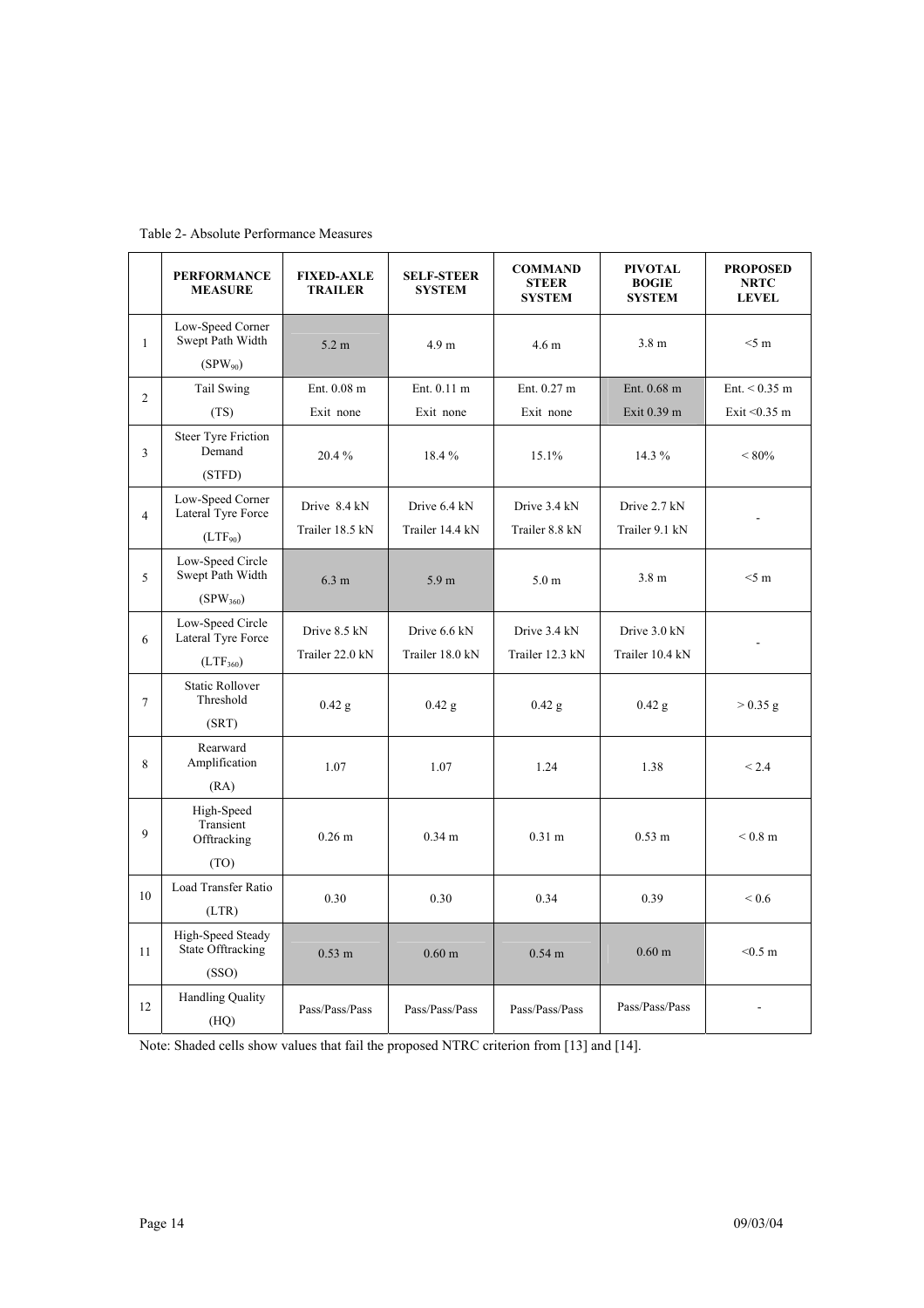|                | <b>PERFORMANCE</b><br><b>MEASURE</b>                    | <b>FIXED-AXLE</b><br><b>TRAILER</b> | <b>SELF-STEER</b><br><b>SYSTEM</b> | <b>COMMAND</b><br><b>STEER</b><br><b>SYSTEM</b> | <b>PIVOTAL</b><br><b>BOGIE</b><br><b>SYSTEM</b> | <b>PROPOSED</b><br><b>NRTC</b><br><b>LEVEL</b> |
|----------------|---------------------------------------------------------|-------------------------------------|------------------------------------|-------------------------------------------------|-------------------------------------------------|------------------------------------------------|
| $\mathbf{1}$   | Low-Speed Corner<br>Swept Path Width<br>$(SPW_{90})$    | 5.2 m                               | 4.9 <sub>m</sub>                   | 4.6 <sub>m</sub>                                | 3.8 <sub>m</sub>                                | $<$ 5 m                                        |
| 2              | Tail Swing<br>(TS)                                      | Ent. 0.08 m<br>Exit none            | Ent. 0.11 m<br>Exit none           | Ent. 0.27 m<br>Exit none                        | Ent. 0.68 m<br>Exit 0.39 m                      | Ent. $< 0.35$ m<br>Exit < $0.35$ m             |
| 3              | <b>Steer Tyre Friction</b><br>Demand<br>(STFD)          | 20.4%                               | 18.4%                              | 15.1%                                           | 14.3 %                                          | ${}<80\%$                                      |
| $\overline{4}$ | Low-Speed Corner<br>Lateral Tyre Force<br>$(LTF_{90})$  | Drive 8.4 kN<br>Trailer 18.5 kN     | Drive 6.4 kN<br>Trailer 14.4 kN    | Drive 3.4 kN<br>Trailer 8.8 kN                  | Drive 2.7 kN<br>Trailer 9.1 kN                  | $\blacksquare$                                 |
| 5              | Low-Speed Circle<br>Swept Path Width<br>$(SPW_{360})$   | 6.3 m                               | 5.9 <sub>m</sub>                   | 5.0 <sub>m</sub>                                | 3.8 <sub>m</sub>                                | $<$ 5 m                                        |
| 6              | Low-Speed Circle<br>Lateral Tyre Force<br>$(LTF_{360})$ | Drive 8.5 kN<br>Trailer 22.0 kN     | Drive 6.6 kN<br>Trailer 18.0 kN    | Drive 3.4 kN<br>Trailer 12.3 kN                 | Drive 3.0 kN<br>Trailer 10.4 kN                 |                                                |
| $\overline{7}$ | <b>Static Rollover</b><br>Threshold<br>(SRT)            | $0.42$ g                            | $0.42$ g                           | $0.42$ g                                        | $0.42$ g                                        | $> 0.35$ g                                     |
| 8              | Rearward<br>Amplification<br>(RA)                       | 1.07                                | 1.07                               | 1.24                                            | 1.38                                            | ${}_{2.4}$                                     |
| 9              | High-Speed<br>Transient<br>Offtracking<br>(TO)          | 0.26 <sub>m</sub>                   | 0.34 <sub>m</sub>                  | 0.31 <sub>m</sub>                               | $0.53 \; \mathrm{m}$                            | $< 0.8$ m                                      |
| 10             | Load Transfer Ratio<br>(LTR)                            | 0.30                                | 0.30                               | 0.34                                            | 0.39                                            | ${}_{0.6}$                                     |
| 11             | High-Speed Steady<br>State Offtracking<br>(SSO)         | $0.53 \; m$                         | 0.60 <sub>m</sub>                  | $0.54$ m                                        | $0.60 \;{\rm m}$                                | $< 0.5$ m                                      |
| 12             | <b>Handling Quality</b><br>(HQ)                         | Pass/Pass/Pass                      | Pass/Pass/Pass                     | Pass/Pass/Pass                                  | Pass/Pass/Pass                                  |                                                |

Note: Shaded cells show values that fail the proposed NTRC criterion from [13] and [14].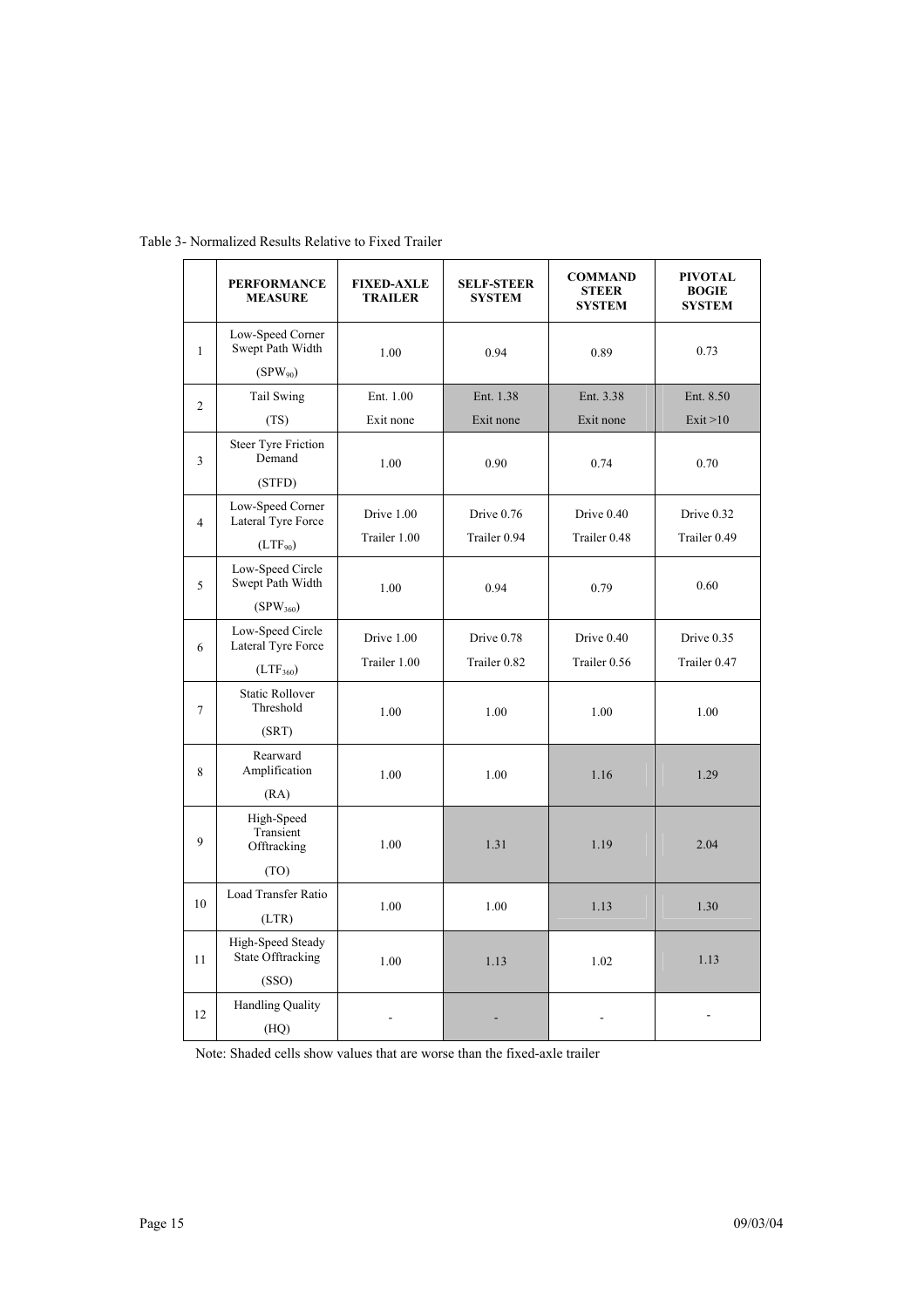|                | <b>PERFORMANCE</b><br><b>MEASURE</b>   | <b>FIXED-AXLE</b><br><b>TRAILER</b> | <b>SELF-STEER</b><br><b>SYSTEM</b> | <b>COMMAND</b><br><b>STEER</b><br><b>SYSTEM</b> | <b>PIVOTAL</b><br><b>BOGIE</b><br><b>SYSTEM</b> |
|----------------|----------------------------------------|-------------------------------------|------------------------------------|-------------------------------------------------|-------------------------------------------------|
| 1              | Low-Speed Corner<br>Swept Path Width   | 1.00                                | 0.94                               | 0.89                                            | 0.73                                            |
|                | $(SPW_{90})$                           |                                     |                                    |                                                 |                                                 |
| $\overline{2}$ | Tail Swing                             | Ent. 1.00                           | Ent. 1.38                          | Ent. 3.38                                       | Ent. 8.50                                       |
|                | (TS)                                   | Exit none                           | Exit none                          | Exit none                                       | Exit > 10                                       |
| 3              | <b>Steer Tyre Friction</b><br>Demand   | 1.00                                | 0.90                               | 0.74                                            | 0.70                                            |
|                | (STFD)                                 |                                     |                                    |                                                 |                                                 |
| $\overline{4}$ | Low-Speed Corner<br>Lateral Tyre Force | Drive 1.00                          | Drive 0.76                         | Drive 0.40                                      | Drive 0.32                                      |
|                | $(LTF_{90})$                           | Trailer 1.00                        | Trailer 0.94                       | Trailer 0.48                                    | Trailer 0.49                                    |
| 5              | Low-Speed Circle<br>Swept Path Width   | 1.00                                | 0.94                               | 0.79                                            | 0.60                                            |
|                | $(SPW_{360})$                          |                                     |                                    |                                                 |                                                 |
| 6              | Low-Speed Circle<br>Lateral Tyre Force | Drive 1.00                          | Drive 0.78                         | Drive 0.40                                      | Drive 0.35                                      |
|                | $(LTF_{360})$                          | Trailer 1.00                        | Trailer 0.82                       | Trailer 0.56                                    | Trailer 0.47                                    |
| $\overline{7}$ | <b>Static Rollover</b><br>Threshold    | 1.00                                | 1.00                               | 1.00                                            | 1.00                                            |
|                | (SRT)                                  |                                     |                                    |                                                 |                                                 |
| 8              | Rearward<br>Amplification              | 1.00                                | 1.00                               | 1.16                                            | 1.29                                            |
|                | (RA)                                   |                                     |                                    |                                                 |                                                 |
| 9              | High-Speed<br>Transient<br>Offtracking | 1.00                                | 1.31                               | 1.19                                            | 2.04                                            |
|                | (TO)                                   |                                     |                                    |                                                 |                                                 |
| 10             | Load Transfer Ratio<br>(LTR)           | 1.00                                | 1.00                               | 1.13                                            | 1.30                                            |
| 11             | High-Speed Steady<br>State Offtracking | 1.00                                | 1.13                               | 1.02                                            | 1.13                                            |
|                | (SSO)                                  |                                     |                                    |                                                 |                                                 |
| 12             | <b>Handling Quality</b><br>(HQ)        |                                     |                                    |                                                 |                                                 |

Table 3- Normalized Results Relative to Fixed Trailer

Note: Shaded cells show values that are worse than the fixed-axle trailer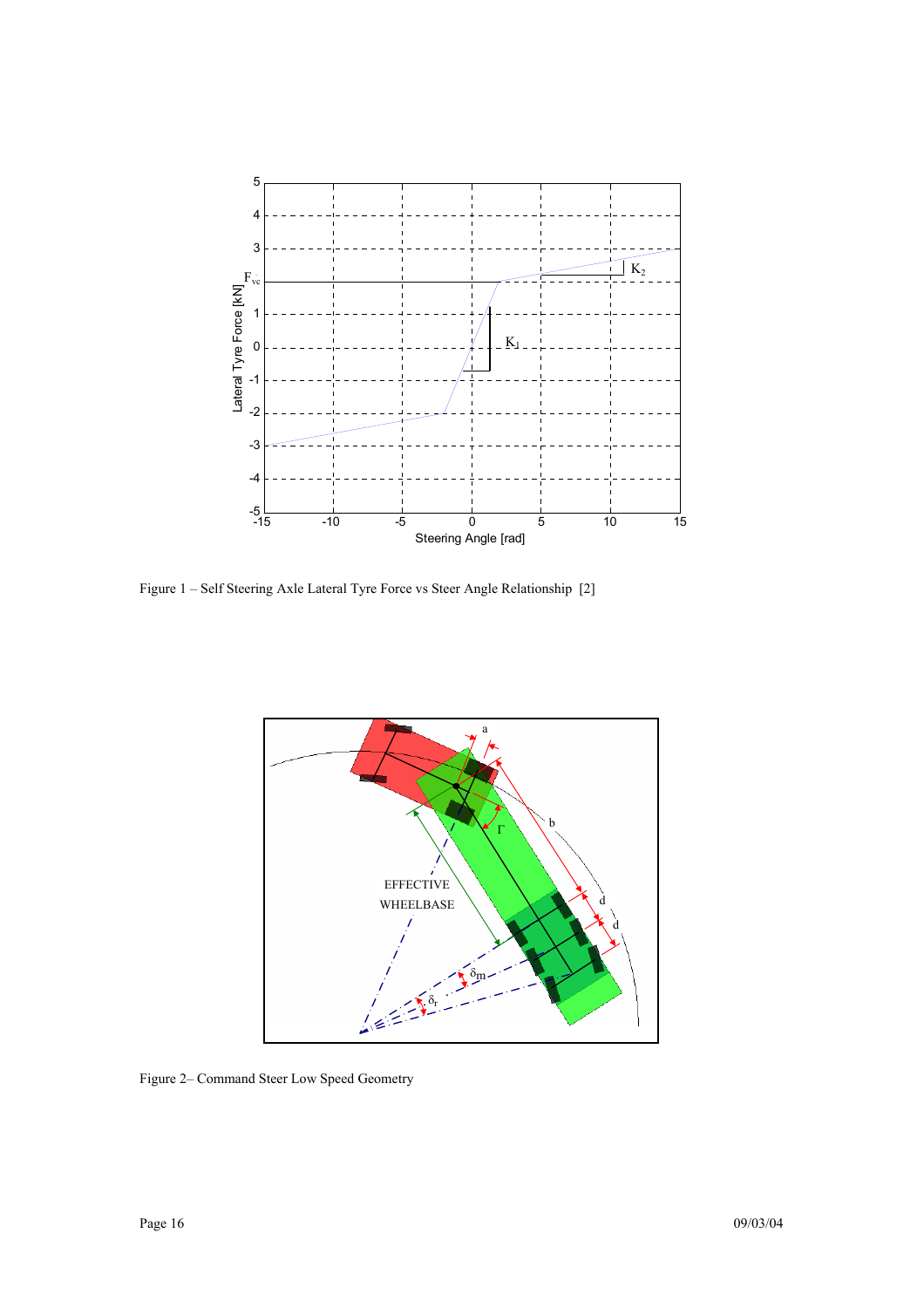

Figure 1 – Self Steering Axle Lateral Tyre Force vs Steer Angle Relationship [2]



Figure 2– Command Steer Low Speed Geometry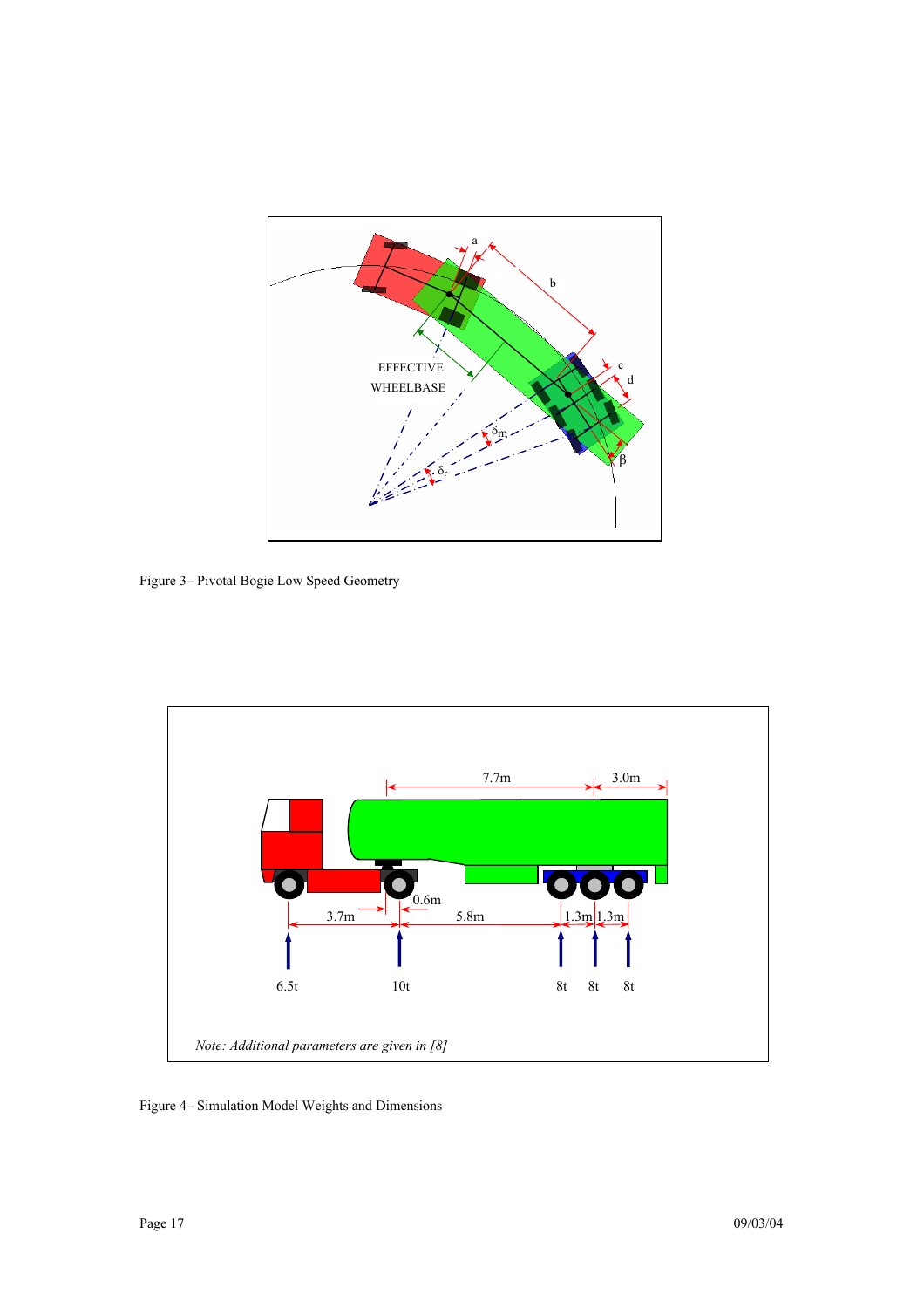

Figure 3– Pivotal Bogie Low Speed Geometry



Figure 4– Simulation Model Weights and Dimensions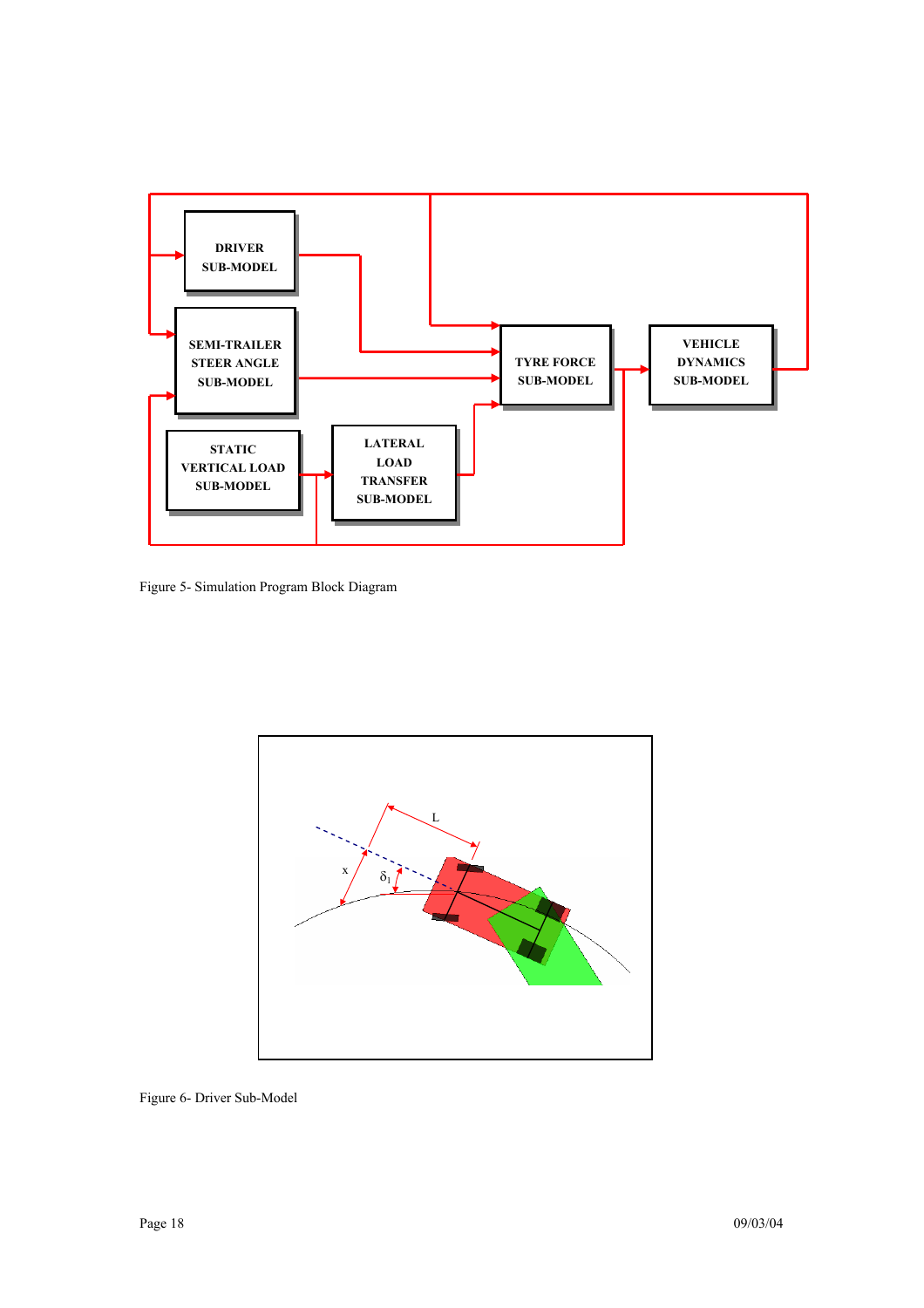

Figure 5- Simulation Program Block Diagram



Figure 6- Driver Sub-Model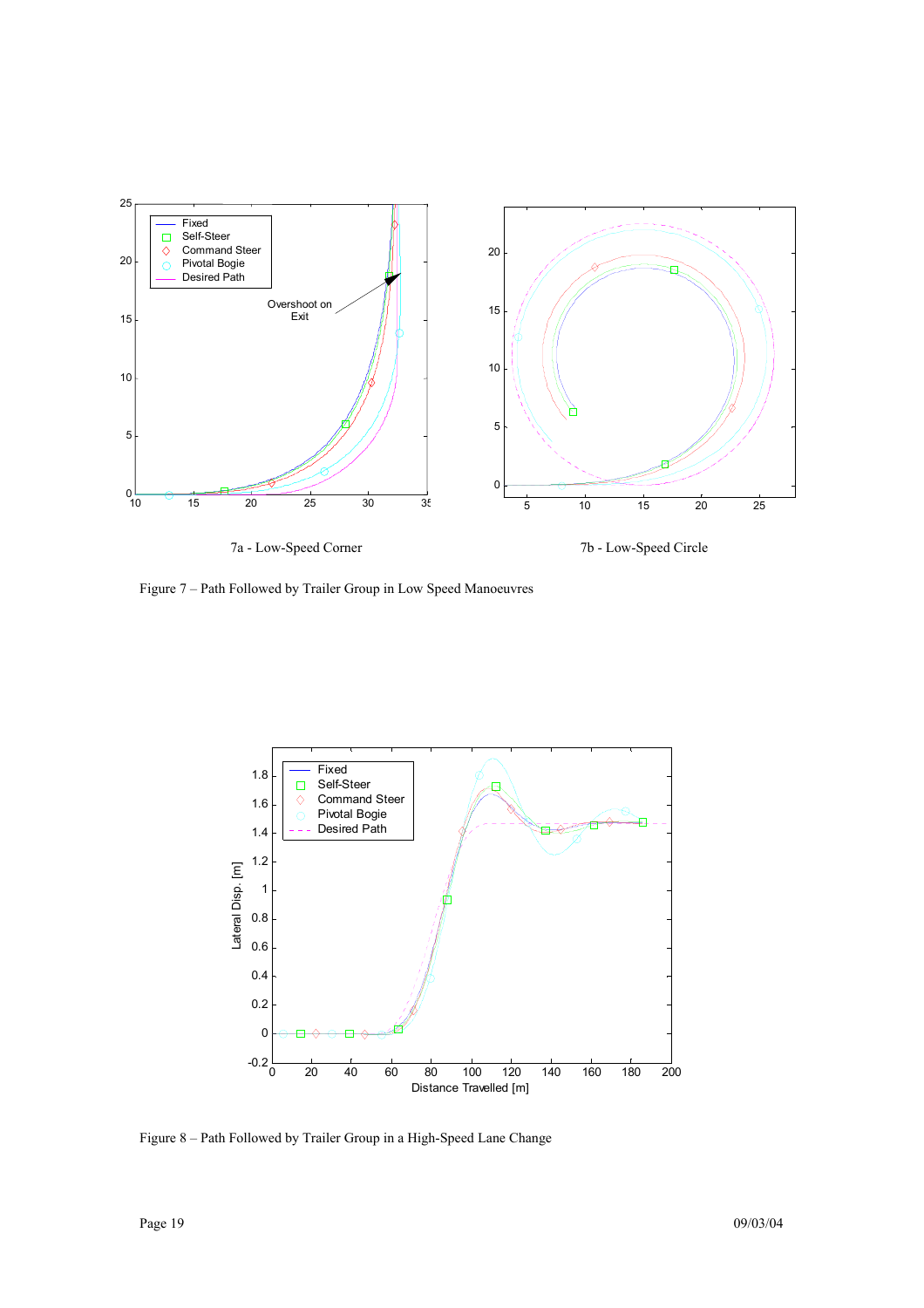

Figure 7 – Path Followed by Trailer Group in Low Speed Manoeuvres



Figure 8 – Path Followed by Trailer Group in a High-Speed Lane Change